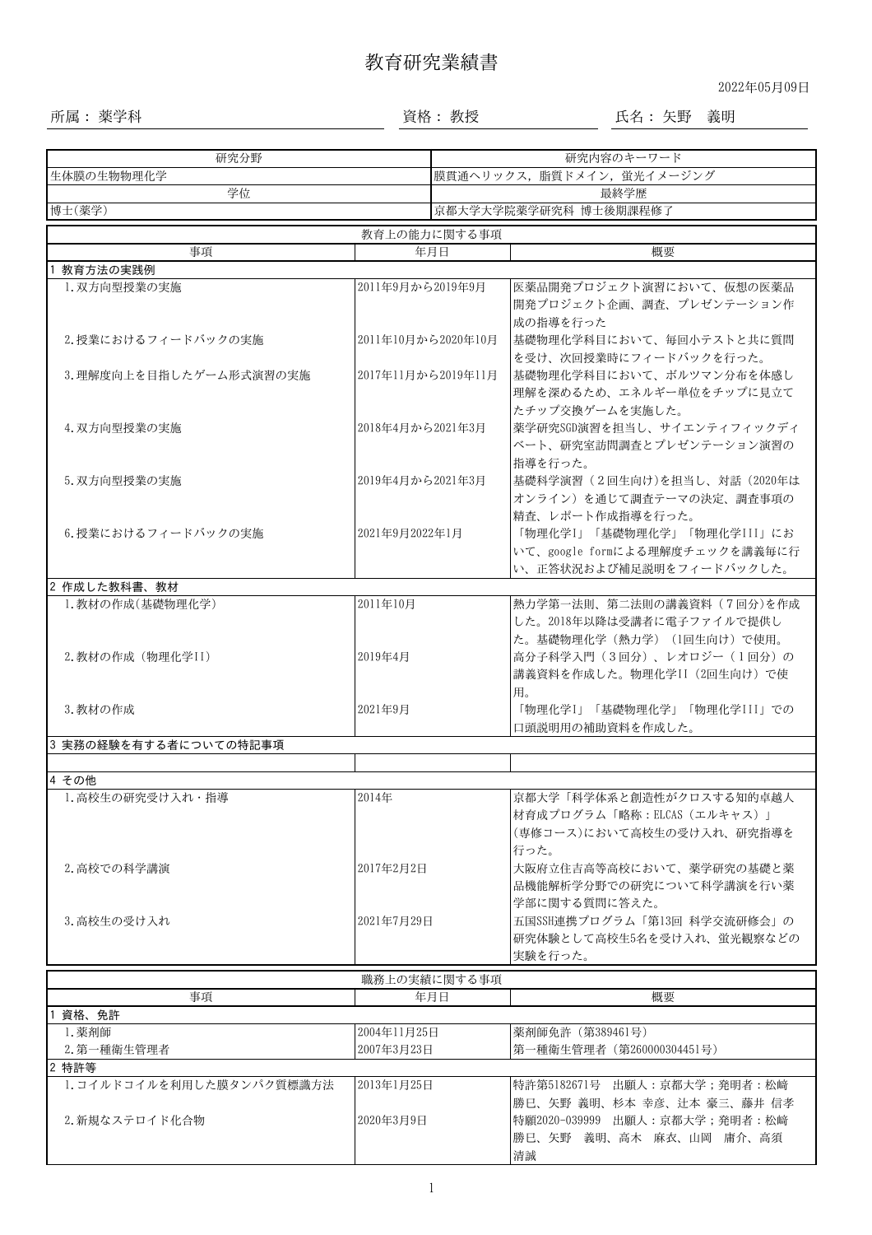## 教育研究業績書

2022年05月09日

所属: 薬学科 資格: 教授 氏名: 矢野 義明

| 研究分野                                        |                         | 研究内容のキーワード                 |                                                                                                              |  |  |  |  |
|---------------------------------------------|-------------------------|----------------------------|--------------------------------------------------------------------------------------------------------------|--|--|--|--|
| 生体膜の生物物理化学                                  |                         | 膜貫通ヘリックス, 脂質ドメイン, 蛍光イメージング |                                                                                                              |  |  |  |  |
| 学位                                          |                         | 最終学歴                       |                                                                                                              |  |  |  |  |
| 博士(薬学)                                      |                         | 京都大学大学院薬学研究科 博士後期課程修了      |                                                                                                              |  |  |  |  |
| 教育上の能力に関する事項                                |                         |                            |                                                                                                              |  |  |  |  |
| 事項                                          |                         | 年月日                        | 概要                                                                                                           |  |  |  |  |
| 教育方法の実践例                                    |                         |                            |                                                                                                              |  |  |  |  |
| 1. 双方向型授業の実施                                | 2011年9月から2019年9月        |                            | 医薬品開発プロジェクト演習において、仮想の医薬品<br>開発プロジェクト企画、調査、プレゼンテーション作<br>成の指導を行った                                             |  |  |  |  |
| 2. 授業におけるフィードバックの実施                         | 2011年10月から2020年10月      |                            | 基礎物理化学科目において、毎回小テストと共に質問<br>を受け、次回授業時にフィードバックを行った。                                                           |  |  |  |  |
| 3.理解度向上を目指したゲーム形式演習の実施                      | 2017年11月から2019年11月      |                            | 基礎物理化学科目において、ボルツマン分布を体感し<br>理解を深めるため、エネルギー単位をチップに見立て<br>たチップ交換ゲームを実施した。                                      |  |  |  |  |
| 4. 双方向型授業の実施                                | 2018年4月から2021年3月        |                            | 薬学研究SGD演習を担当し、サイエンティフィックディ<br>ベート、研究室訪問調査とプレゼンテーション演習の<br>指導を行った。                                            |  |  |  |  |
| 5. 双方向型授業の実施                                | 2019年4月から2021年3月        |                            | 基礎科学演習 (2回生向け)を担当し、対話 (2020年は<br>オンライン)を通じて調査テーマの決定、調査事項の                                                    |  |  |  |  |
| 6. 授業におけるフィードバックの実施                         | 2021年9月2022年1月          |                            | 精査、レポート作成指導を行った。<br>「物理化学I」「基礎物理化学」「物理化学III」にお<br>いて、google formによる理解度チェックを講義毎に行<br>い、正答状況および補足説明をフィードバックした。 |  |  |  |  |
| 2 作成した教科書、教材                                |                         |                            |                                                                                                              |  |  |  |  |
| 1.教材の作成(基礎物理化学)                             | 2011年10月                |                            | 熱力学第一法則、第二法則の講義資料 (7回分)を作成<br>した。2018年以降は受講者に電子ファイルで提供し<br>た。基礎物理化学(熱力学) (1回生向け)で使用。                         |  |  |  |  |
| 2. 教材の作成 (物理化学II)                           | 2019年4月                 |                            | 高分子科学入門 (3回分)、レオロジー (1回分)の<br>講義資料を作成した。物理化学II (2回生向け) で使<br>用。                                              |  |  |  |  |
| 3. 教材の作成                                    | 2021年9月                 |                            | 「物理化学I」「基礎物理化学」「物理化学III」での<br>口頭説明用の補助資料を作成した。                                                               |  |  |  |  |
| 3 実務の経験を有する者についての特記事項                       |                         |                            |                                                                                                              |  |  |  |  |
| 4 その他                                       |                         |                            |                                                                                                              |  |  |  |  |
| 1. 高校生の研究受け入れ・指導                            | 2014年                   |                            | 京都大学「科学体系と創造性がクロスする知的卓越人<br>材育成プログラム「略称:ELCAS(エルキャス)」<br>(専修コース)において高校生の受け入れ、研究指導を<br>行った。                   |  |  |  |  |
| 2. 高校での科学講演                                 | 2017年2月2日               |                            | 大阪府立住吉高等高校において、薬学研究の基礎と薬<br>品機能解析学分野での研究について科学講演を行い薬<br>学部に関する質問に答えた。                                        |  |  |  |  |
| 3. 高校生の受け入れ                                 | 2021年7月29日              |                            | 五国SSH連携プログラム「第13回 科学交流研修会」の<br>研究体験として高校生5名を受け入れ、蛍光観察などの<br>実験を行った。                                          |  |  |  |  |
|                                             |                         | 職務上の実績に関する事項               |                                                                                                              |  |  |  |  |
| 事項                                          |                         | 年月日                        | 概要                                                                                                           |  |  |  |  |
| 資格、免許                                       |                         |                            |                                                                                                              |  |  |  |  |
| 1. 薬剤師                                      | 2004年11月25日             |                            | 薬剤師免許 (第389461号)                                                                                             |  |  |  |  |
| 2. 第一種衛生管理者                                 | 2007年3月23日              |                            | 第一種衛生管理者 (第260000304451号)                                                                                    |  |  |  |  |
| 2 特許等                                       |                         |                            |                                                                                                              |  |  |  |  |
| 1. コイルドコイルを利用した膜タンパク質標識方法<br>2. 新規なステロイド化合物 | 2013年1月25日<br>2020年3月9日 |                            | 特許第5182671号 出願人:京都大学;発明者:松﨑<br>勝巳、矢野 義明、杉本 幸彦、辻本 豪三、藤井 信孝<br>特願2020-039999 出願人:京都大学;発明者:松崎                   |  |  |  |  |
|                                             |                         |                            | 勝巳、矢野 義明、高木 麻衣、山岡 庸介、高須<br>清誠                                                                                |  |  |  |  |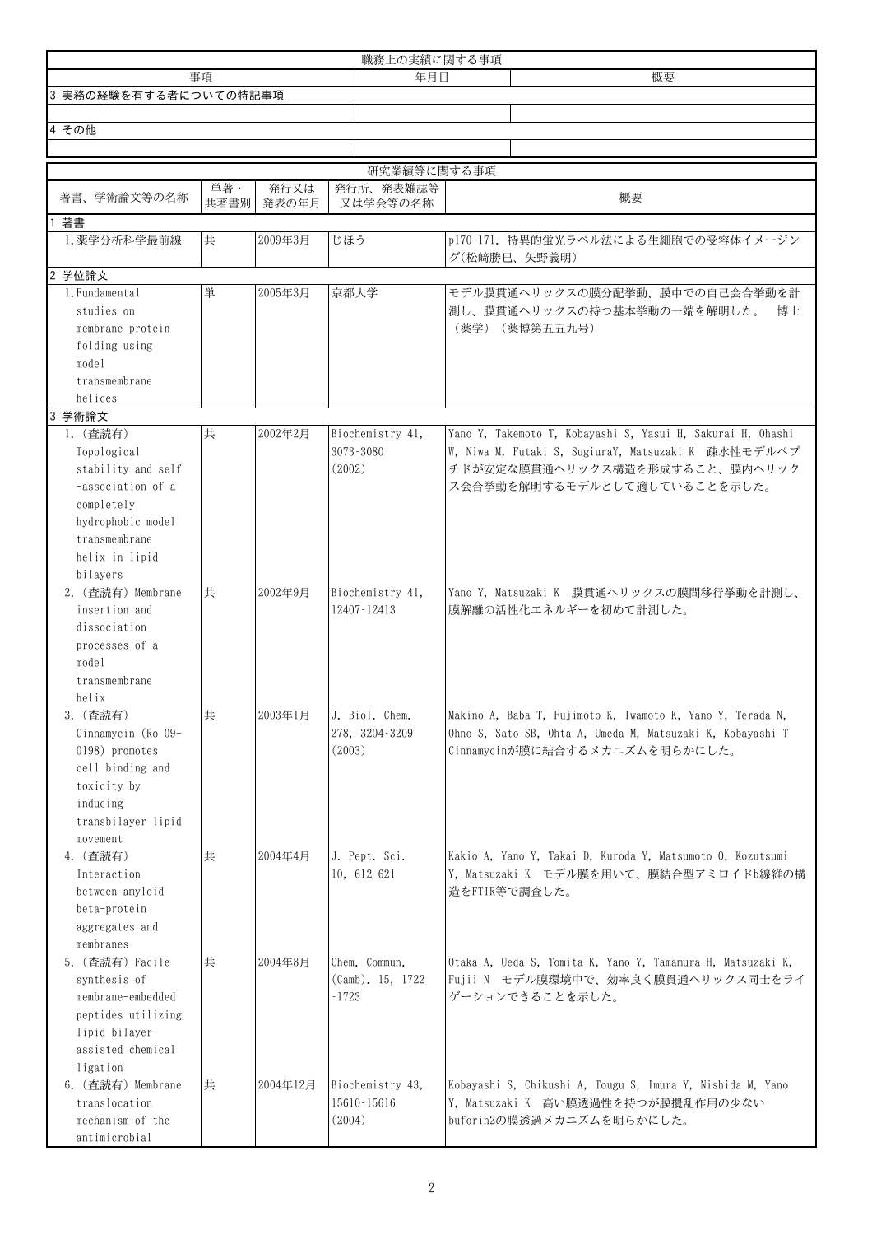|                                                                                                                                          |             |               | 職務上の実績に関する事項                                    |                                                                                                                                                                                      |
|------------------------------------------------------------------------------------------------------------------------------------------|-------------|---------------|-------------------------------------------------|--------------------------------------------------------------------------------------------------------------------------------------------------------------------------------------|
|                                                                                                                                          | 事項          |               | 年月日                                             | 概要                                                                                                                                                                                   |
| 3 実務の経験を有する者についての特記事項                                                                                                                    |             |               |                                                 |                                                                                                                                                                                      |
|                                                                                                                                          |             |               |                                                 |                                                                                                                                                                                      |
| 4 その他                                                                                                                                    |             |               |                                                 |                                                                                                                                                                                      |
|                                                                                                                                          |             |               |                                                 |                                                                                                                                                                                      |
|                                                                                                                                          |             |               | 研究業績等に関する事項                                     |                                                                                                                                                                                      |
| 著書、学術論文等の名称                                                                                                                              | 単著·<br>共著書別 | 発行又は<br>発表の年月 | 発行所、発表雑誌等<br>又は学会等の名称                           | 概要                                                                                                                                                                                   |
| 著書                                                                                                                                       |             |               |                                                 |                                                                                                                                                                                      |
| 1. 薬学分析科学最前線                                                                                                                             | 共           | 2009年3月       | じほう                                             | p170-171. 特異的蛍光ラベル法による生細胞での受容体イメージン<br>グ(松﨑勝巳、矢野義明)                                                                                                                                  |
| 2 学位論文                                                                                                                                   |             |               |                                                 |                                                                                                                                                                                      |
| 1. Fundamental                                                                                                                           | 単           | 2005年3月       | 京都大学                                            | モデル膜貫通ヘリックスの膜分配挙動、膜中での自己会合挙動を計                                                                                                                                                       |
| studies on<br>membrane protein<br>folding using<br>model<br>transmembrane                                                                |             |               |                                                 | 測し、膜貫通ヘリックスの持つ基本挙動の一端を解明した。<br>博士<br>(薬学) (薬博第五五九号)                                                                                                                                  |
| helices<br>3 学術論文                                                                                                                        |             |               |                                                 |                                                                                                                                                                                      |
| 1. (查読有)<br>Topological<br>stability and self<br>-association of a<br>completely<br>hydrophobic model<br>transmembrane<br>helix in lipid | 共           | 2002年2月       | Biochemistry 41,<br>3073-3080<br>(2002)         | Yano Y, Takemoto T, Kobayashi S, Yasui H, Sakurai H, Ohashi<br>W, Niwa M, Futaki S, SugiuraY, Matsuzaki K 疎水性モデルペプ<br>チドが安定な膜貫通ヘリックス構造を形成すること、膜内ヘリック<br>ス会合挙動を解明するモデルとして適していることを示した。 |
| bilayers<br>2. (查読有) Membrane<br>insertion and<br>dissociation<br>processes of a<br>model<br>transmembrane                               | 共           | 2002年9月       | Biochemistry 41,<br>12407-12413                 | Yano Y. Matsuzaki K 膜貫通ヘリックスの膜間移行挙動を計測し、<br>膜解離の活性化エネルギーを初めて計測した。                                                                                                                    |
| helix<br>3. (查読有)<br>Cinnamycin (Ro 09-<br>0198) promotes<br>cell binding and<br>toxicity by<br>inducing<br>transbilayer lipid           | 共           | 2003年1月       | J. Biol. Chem.<br>278, 3204-3209<br>(2003)      | Makino A, Baba T, Fujimoto K, Iwamoto K, Yano Y, Terada N,<br>Ohno S, Sato SB, Ohta A, Umeda M, Matsuzaki K, Kobayashi T<br>Cinnamycinが膜に結合するメカニズムを明らかにした。                           |
| movement<br>4. (查読有)<br>Interaction<br>between amyloid<br>beta-protein<br>aggregates and<br>membranes                                    | 共           | 2004年4月       | J. Pept. Sci.<br>$10, 612 - 621$                | Kakio A, Yano Y, Takai D, Kuroda Y, Matsumoto O, Kozutsumi<br>Y, Matsuzaki K モデル膜を用いて、膜結合型アミロイドb線維の構<br>造をFTIR等で調査した。                                                                |
| 5. (查読有) Facile<br>synthesis of<br>membrane-embedded<br>peptides utilizing<br>lipid bilayer-<br>assisted chemical                        | 共           | 2004年8月       | Chem. Commun.<br>$(Camb)$ , 15, 1722<br>$-1723$ | Otaka A, Ueda S, Tomita K, Yano Y, Tamamura H, Matsuzaki K,<br>Fujii N モデル膜環境中で、効率良く膜貫通ヘリックス同士をライ<br>ゲーションできることを示した。                                                                 |
| ligation<br>6. (查読有) Membrane<br>translocation<br>mechanism of the<br>antimicrobial                                                      | 共           | 2004年12月      | Biochemistry 43,<br>15610-15616<br>(2004)       | Kobayashi S, Chikushi A, Tougu S, Imura Y, Nishida M, Yano<br>Y, Matsuzaki K 高い膜透過性を持つが膜攪乱作用の少ない<br>buforin2の膜透過メカニズムを明らかにした。                                                        |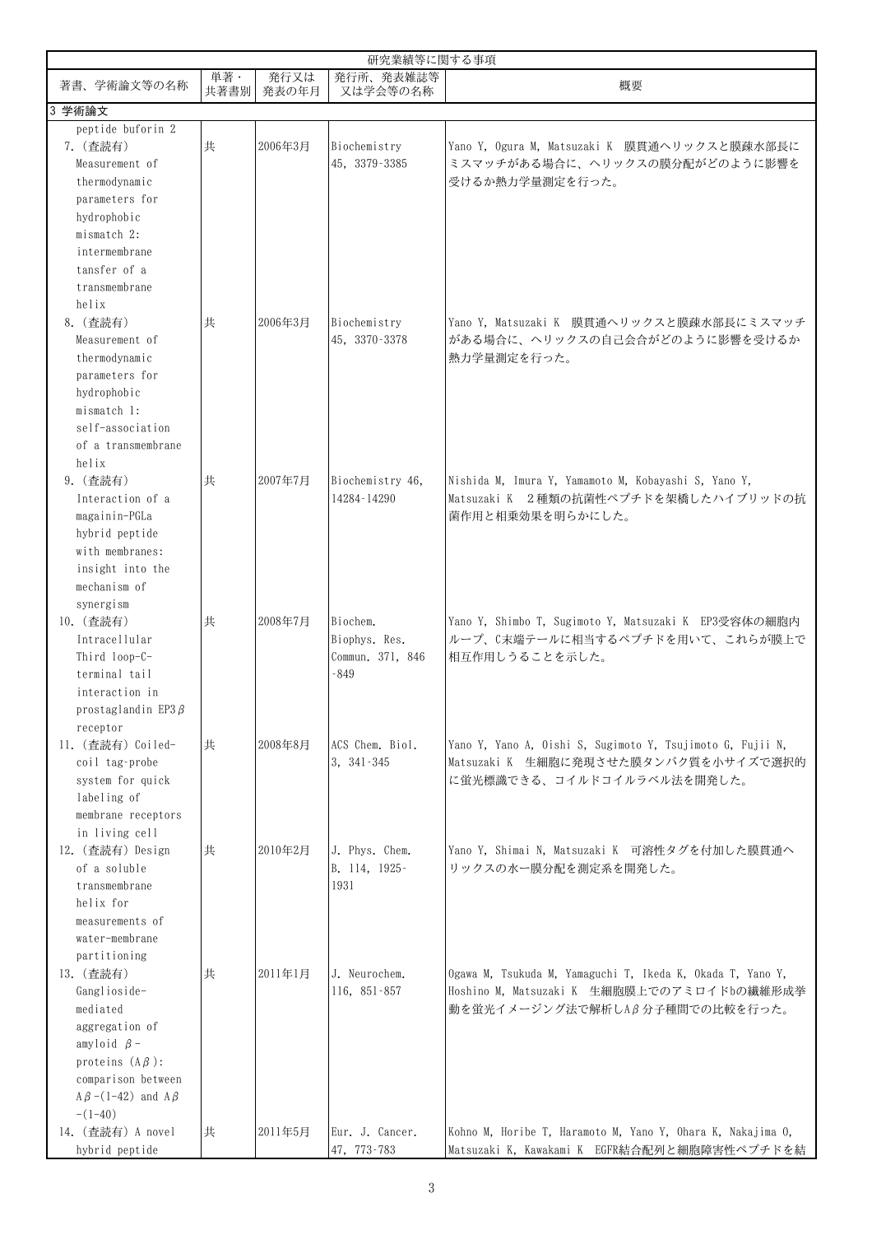| 研究業績等に関する事項                                                                                                                                                               |            |               |                                                         |                                                                                                                                            |  |
|---------------------------------------------------------------------------------------------------------------------------------------------------------------------------|------------|---------------|---------------------------------------------------------|--------------------------------------------------------------------------------------------------------------------------------------------|--|
| 著書、学術論文等の名称                                                                                                                                                               | 単著<br>共著書別 | 発行又は<br>発表の年月 | 発行所、発表雑誌等<br>又は学会等の名称                                   | 概要                                                                                                                                         |  |
| 3 学術論文                                                                                                                                                                    |            |               |                                                         |                                                                                                                                            |  |
| peptide buforin 2<br>7. (查読有)<br>Measurement of<br>thermodynamic<br>parameters for<br>hydrophobic                                                                         | 共          | 2006年3月       | Biochemistry<br>45, 3379-3385                           | Yano Y, Ogura M, Matsuzaki K 膜貫通ヘリックスと膜疎水部長に<br>ミスマッチがある場合に、ヘリックスの膜分配がどのように影響を<br>受けるか熱力学量測定を行った。                                          |  |
| mismatch 2:<br>intermembrane<br>tansfer of a<br>transmembrane<br>helix                                                                                                    |            |               |                                                         |                                                                                                                                            |  |
| 8. (查読有)<br>Measurement of<br>thermodynamic<br>parameters for<br>hydrophobic<br>mismatch 1:<br>self-association<br>of a transmembrane                                     | 共          | 2006年3月       | Biochemistry<br>45, 3370-3378                           | Yano Y, Matsuzaki K 膜貫通ヘリックスと膜疎水部長にミスマッチ<br>がある場合に、ヘリックスの自己会合がどのように影響を受けるか<br>熱力学量測定を行った。                                                  |  |
| helix<br>9. (查読有)<br>Interaction of a<br>magainin-PGLa<br>hybrid peptide<br>with membranes:<br>insight into the<br>mechanism of<br>synergism                              | 共          | 2007年7月       | Biochemistry 46,<br>14284-14290                         | Nishida M, Imura Y, Yamamoto M, Kobayashi S, Yano Y,<br>Matsuzaki K 2種類の抗菌性ペプチドを架橋したハイブリッドの抗<br>菌作用と相乗効果を明らかにした。                           |  |
| 10. (查読有)<br>Intracellular<br>Third loop-C-<br>terminal tail<br>interaction in<br>prostaglandin EP3 $\beta$<br>receptor                                                   | 共          | 2008年7月       | Biochem.<br>Biophys. Res.<br>Commun. 371, 846<br>$-849$ | Yano Y, Shimbo T, Sugimoto Y, Matsuzaki K EP3受容体の細胞内<br>ループ、C末端テールに相当するペプチドを用いて、これらが膜上で<br>相互作用しうることを示した。                                  |  |
| 11. (查読有) Coiled-<br>coil tag-probe<br>system for quick<br>labeling of<br>membrane receptors<br>in living cell                                                            | 共          | 2008年8月       | ACS Chem. Biol.<br>3, 341-345                           | Yano Y, Yano A, Oishi S, Sugimoto Y, Tsujimoto G, Fujii N,<br>Matsuzaki K 生細胞に発現させた膜タンパク質を小サイズで選択的<br>に蛍光標識できる、コイルドコイルラベル法を開発した。           |  |
| 12. (查読有) Design<br>of a soluble<br>transmembrane<br>helix for<br>measurements of<br>water-membrane<br>partitioning                                                       | 共          | 2010年2月       | J. Phys. Chem.<br>B. 114, 1925-<br>1931                 | Yano Y, Shimai N, Matsuzaki K 可溶性タグを付加した膜貫通へ<br>リックスの水ー膜分配を測定系を開発した。                                                                       |  |
| 13. (查読有)<br>Ganglioside-<br>mediated<br>aggregation of<br>amyloid $\beta$ -<br>proteins $(A\beta)$ :<br>comparison between<br>$A\beta$ –(1–42) and $A\beta$<br>$-(1-40)$ | 共          | 2011年1月       | J. Neurochem.<br>116, 851-857                           | Ogawa M, Tsukuda M, Yamaguchi T, Ikeda K, Okada T, Yano Y,<br>Hoshino M, Matsuzaki K 生細胞膜上でのアミロイドbの繊維形成挙<br>動を蛍光イメージング法で解析しAβ分子種間での比較を行った。 |  |
| 14. (查読有) A novel<br>hybrid peptide                                                                                                                                       | 共          | 2011年5月       | Eur. J. Cancer.<br>47, 773-783                          | Kohno M, Horibe T, Haramoto M, Yano Y, Ohara K, Nakajima O,<br>Matsuzaki K, Kawakami K EGFR結合配列と細胞障害性ペプチドを結                                |  |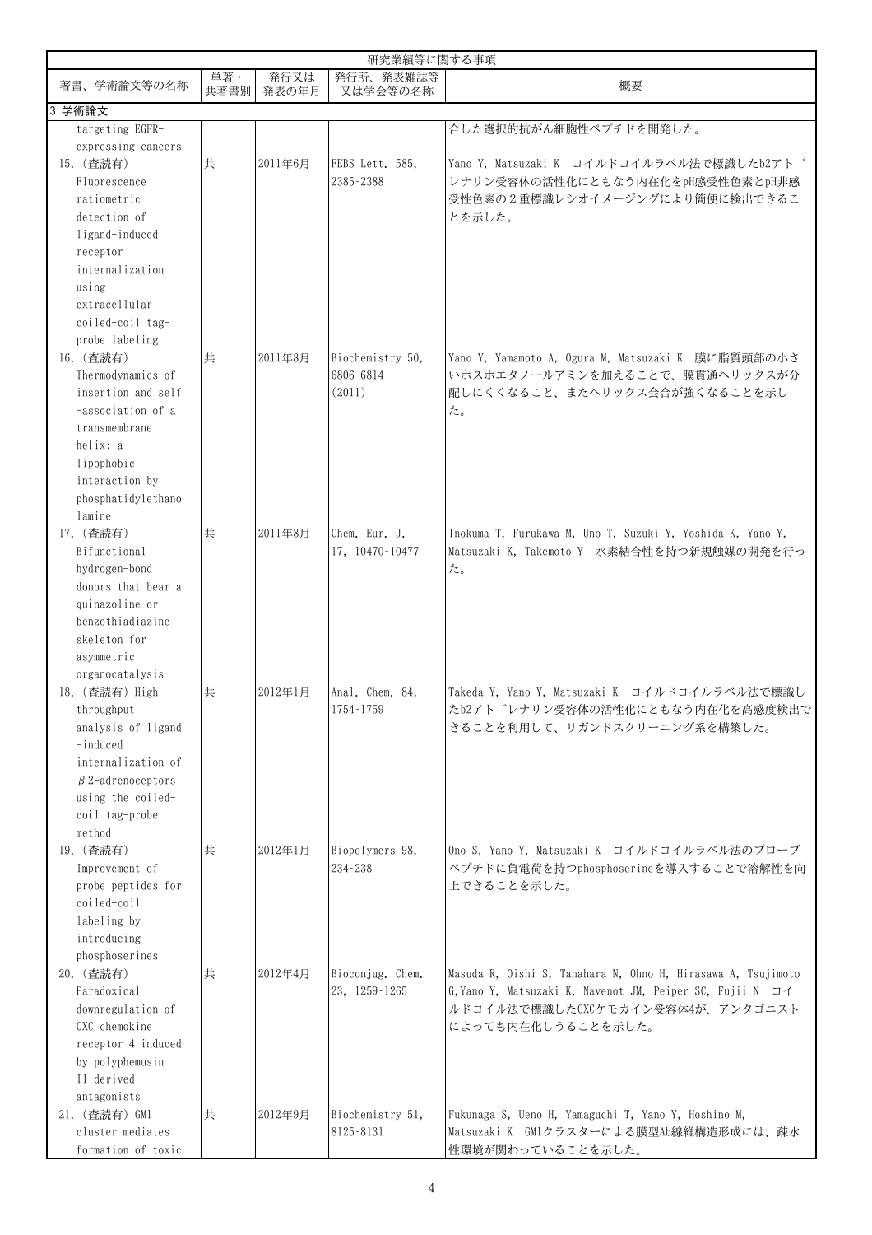| 研究業績等に関する事項                         |            |               |                       |                                                              |
|-------------------------------------|------------|---------------|-----------------------|--------------------------------------------------------------|
| 著書、学術論文等の名称                         | 単著<br>共著書別 | 発行又は<br>発表の年月 | 発行所、発表雑誌等<br>又は学会等の名称 | 概要                                                           |
| 3 学術論文                              |            |               |                       |                                                              |
| targeting EGFR-                     |            |               |                       | 合した選択的抗がん細胞性ペプチドを開発した。                                       |
| expressing cancers                  |            |               |                       |                                                              |
| 15. (查読有)                           | 共          | 2011年6月       | FEBS Lett. 585,       | Yano Y, Matsuzaki K コイルドコイルラベル法で標識したb2アド                     |
| Fluorescence                        |            |               | 2385-2388             | レナリン受容体の活性化にともなう内在化をpH感受性色素とpH非感                             |
| ratiometric                         |            |               |                       | 受性色素の2重標識レシオイメージングにより簡便に検出できるこ                               |
| detection of                        |            |               |                       | とを示した。                                                       |
| ligand-induced                      |            |               |                       |                                                              |
| receptor                            |            |               |                       |                                                              |
| internalization                     |            |               |                       |                                                              |
| using                               |            |               |                       |                                                              |
| extracellular                       |            |               |                       |                                                              |
| coiled-coil tag-                    |            |               |                       |                                                              |
| probe labeling                      |            |               |                       |                                                              |
| 16. (查読有)                           | 共          | 2011年8月       | Biochemistry 50,      | Yano Y, Yamamoto A, Ogura M, Matsuzaki K 膜に脂質頭部の小さ           |
| Thermodynamics of                   |            |               | 6806-6814             | いホスホエタノールアミンを加えることで、膜貫通ヘリックスが分                               |
| insertion and self                  |            |               | (2011)                | 配しにくくなること、またヘリックス会合が強くなることを示し                                |
| -association of a                   |            |               |                       | た。                                                           |
| transmembrane                       |            |               |                       |                                                              |
| helix: a                            |            |               |                       |                                                              |
| lipophobic                          |            |               |                       |                                                              |
| interaction by                      |            |               |                       |                                                              |
| phosphatidylethano                  |            |               |                       |                                                              |
| lamine                              |            |               |                       |                                                              |
| 17. (查読有)                           | 共          | 2011年8月       | Chem. Eur. J.         | Inokuma T, Furukawa M, Uno T, Suzuki Y, Yoshida K, Yano Y,   |
| Bifunctional                        |            |               | 17, 10470-10477       | Matsuzaki K, Takemoto Y 水素結合性を持つ新規触媒の開発を行っ                   |
| hydrogen-bond<br>donors that bear a |            |               |                       | た。                                                           |
| quinazoline or                      |            |               |                       |                                                              |
| benzothiadiazine                    |            |               |                       |                                                              |
| skeleton for                        |            |               |                       |                                                              |
| asymmetric                          |            |               |                       |                                                              |
| organocatalysis                     |            |               |                       |                                                              |
| 18. (查読有) High-                     | 共          | 2012年1月       | Anal. Chem. 84,       | Takeda Y, Yano Y, Matsuzaki K コイルドコイルラベル法で標識し                |
| throughput                          |            |               | 1754-1759             | たb2アト レナリン受容体の活性化にともなう内在化を高感度検出で                             |
| analysis of ligand                  |            |               |                       | きることを利用して、リガンドスクリーニング系を構築した。                                 |
| $-induced$                          |            |               |                       |                                                              |
| internalization of                  |            |               |                       |                                                              |
| $\beta$ 2-adrenoceptors             |            |               |                       |                                                              |
| using the coiled-                   |            |               |                       |                                                              |
| coil tag-probe                      |            |               |                       |                                                              |
| method                              |            |               |                       |                                                              |
| 19. (查読有)                           | 共          | 2012年1月       | Biopolymers 98,       | Ono S, Yano Y. Matsuzaki K コイルドコイルラベル法のプローブ                  |
| Improvement of                      |            |               | 234-238               | ペプチドに負電荷を持つphosphoserineを導入することで溶解性を向                        |
| probe peptides for                  |            |               |                       | 上できることを示した。                                                  |
| coiled-coil                         |            |               |                       |                                                              |
| labeling by                         |            |               |                       |                                                              |
| introducing                         |            |               |                       |                                                              |
| phosphoserines                      |            |               |                       |                                                              |
| 20. (查読有)                           | 共          | 2012年4月       | Bioconjug. Chem.      | Masuda R, Oishi S, Tanahara N, Ohno H, Hirasawa A, Tsujimoto |
| Paradoxical                         |            |               | 23, 1259-1265         | G, Yano Y, Matsuzaki K, Navenot JM, Peiper SC, Fujii N コイ    |
| downregulation of                   |            |               |                       | ルドコイル法で標識したCXCケモカイン受容体4が、アンタゴニスト                             |
| CXC chemokine                       |            |               |                       | によっても内在化しうることを示した。                                           |
| receptor 4 induced                  |            |               |                       |                                                              |
| by polyphemusin                     |            |               |                       |                                                              |
| II-derived                          |            |               |                       |                                                              |
| antagonists                         |            |               |                       |                                                              |
| 21. (查読有) GM1                       | 共          | 2012年9月       | Biochemistry 51,      | Fukunaga S, Ueno H, Yamaguchi T, Yano Y, Hoshino M,          |
| cluster mediates                    |            |               | 8125-8131             | Matsuzaki K GM1クラスターによる膜型Ab線維構造形成には、疎水                       |
| formation of toxic                  |            |               |                       | 性環境が関わっていることを示した。                                            |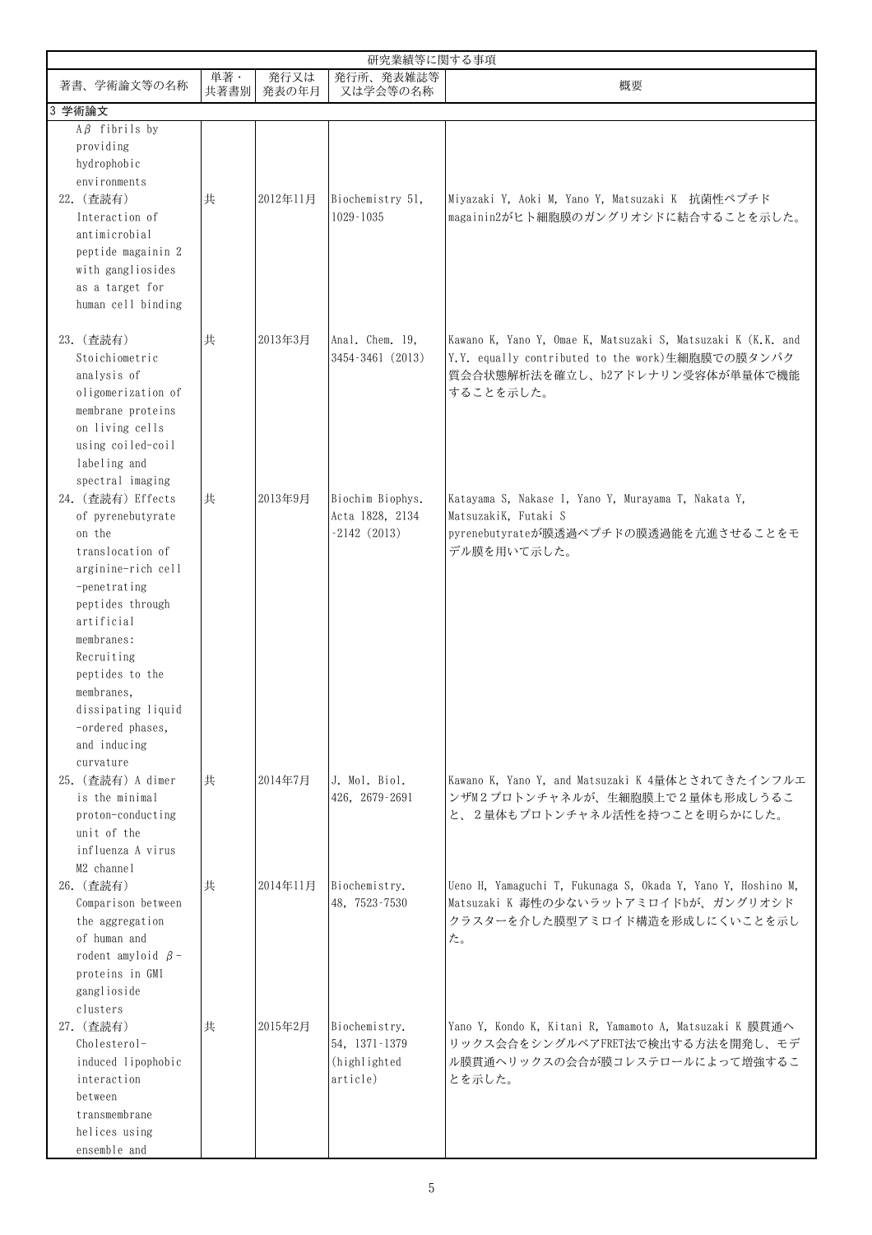|                                                                                                                                                                                                                                                                                                      |            |               | 研究業績等に関する事項                                                 |                                                                                                                                                                   |
|------------------------------------------------------------------------------------------------------------------------------------------------------------------------------------------------------------------------------------------------------------------------------------------------------|------------|---------------|-------------------------------------------------------------|-------------------------------------------------------------------------------------------------------------------------------------------------------------------|
| 著書、学術論文等の名称                                                                                                                                                                                                                                                                                          | 単著<br>共著書別 | 発行又は<br>発表の年月 | 発行所、発表雑誌等<br>又は学会等の名称                                       | 概要                                                                                                                                                                |
| 3 学術論文                                                                                                                                                                                                                                                                                               |            |               |                                                             |                                                                                                                                                                   |
| $A\beta$ fibrils by<br>providing<br>hydrophobic<br>environments<br>22. (查読有)<br>Interaction of<br>antimicrobial<br>peptide magainin 2<br>with gangliosides<br>as a target for<br>human cell binding                                                                                                  | 共          | 2012年11月      | Biochemistry 51,<br>1029-1035                               | Miyazaki Y, Aoki M, Yano Y, Matsuzaki K 抗菌性ペプチド<br>magainin2がヒト細胞膜のガングリオシドに結合することを示した。                                                                            |
| 23. (查読有)<br>Stoichiometric<br>analysis of<br>oligomerization of<br>membrane proteins<br>on living cells<br>using coiled-coil<br>labeling and                                                                                                                                                        | 共          | 2013年3月       | Anal. Chem. 19,<br>3454-3461 (2013)                         | Kawano K, Yano Y, Omae K, Matsuzaki S, Matsuzaki K (K.K. and<br>Y.Y. equally contributed to the work)生細胞膜での膜タンパク<br> 質会合状態解析法を確立し、b2アドレナリン受容体が単量体で機能<br>することを示した。 |
| spectral imaging<br>24. (查読有) Effects<br>of pyrenebutyrate<br>on the<br>translocation of<br>arginine-rich cell<br>-penetrating<br>peptides through<br>artificial<br>membranes:<br>Recruiting<br>peptides to the<br>membranes.<br>dissipating liquid<br>-ordered phases,<br>and inducing<br>curvature | 共          | 2013年9月       | Biochim Biophys.<br>Acta 1828, 2134<br>$-2142(2013)$        | Katayama S, Nakase I, Yano Y, Murayama T, Nakata Y,<br>MatsuzakiK, Futaki S<br>pyrenebutyrateが膜透過ペプチドの膜透過能を亢進させることをモ<br>デル膜を用いて示した。                               |
| 25. (查読有) A dimer<br>is the minimal<br>proton-conducting<br>unit of the<br>influenza A virus<br>M2 channel                                                                                                                                                                                           | 共          | 2014年7月       | J. Mol. Biol.<br>426, 2679-2691                             | Kawano K, Yano Y, and Matsuzaki K 4量体とされてきたインフルエ<br>ンザM2プロトンチャネルが、生細胞膜上で2量体も形成しうるこ<br>と、2量体もプロトンチャネル活性を持つことを明らかにした。                                               |
| 26. (查読有)<br>Comparison between<br>the aggregation<br>of human and<br>rodent amyloid $\beta$ -<br>proteins in GM1<br>ganglioside<br>clusters                                                                                                                                                         | 共          | 2014年11月      | Biochemistry.<br>48, 7523-7530                              | Ueno H. Yamaguchi T. Fukunaga S. Okada Y. Yano Y. Hoshino M.<br>Matsuzaki K 毒性の少ないラットアミロイドbが、ガングリオシド<br>クラスターを介した膜型アミロイド構造を形成しにくいことを示し<br>た。                      |
| 27. (查読有)<br>Cholesterol-<br>induced lipophobic<br>interaction<br>between<br>transmembrane<br>helices using<br>ensemble and                                                                                                                                                                          | 共          | 2015年2月       | Biochemistry.<br>54, 1371-1379<br>(highlighted)<br>article) | Yano Y, Kondo K, Kitani R, Yamamoto A, Matsuzaki K 膜貫通へ<br>リックス会合をシングルペアFRET法で検出する方法を開発し、モデ<br>ル膜貫通ヘリックスの会合が膜コレステロールによって増強するこ<br>とを示した。                           |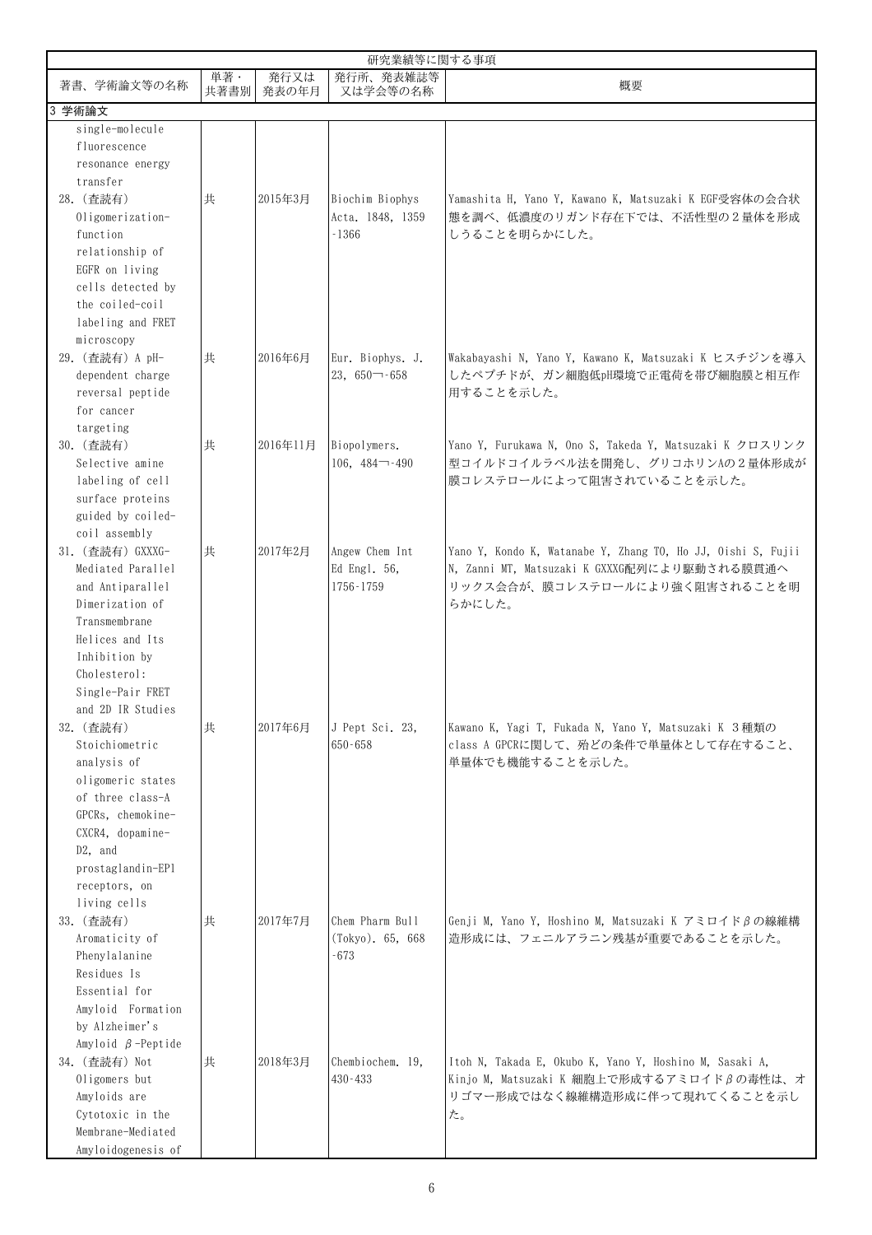|                                                                                                                                                                                                                      |             |               | 研究業績等に関する事項                                    |                                                                                                                                                          |
|----------------------------------------------------------------------------------------------------------------------------------------------------------------------------------------------------------------------|-------------|---------------|------------------------------------------------|----------------------------------------------------------------------------------------------------------------------------------------------------------|
| 著書、学術論文等の名称                                                                                                                                                                                                          | 単著·<br>共著書別 | 発行又は<br>発表の年月 | 発行所、発表雑誌等<br>又は学会等の名称                          | 概要                                                                                                                                                       |
| 3 学術論文                                                                                                                                                                                                               |             |               |                                                |                                                                                                                                                          |
| single-molecule<br>fluorescence<br>resonance energy                                                                                                                                                                  |             |               |                                                |                                                                                                                                                          |
| transfer<br>28. (查読有)<br>Oligomerization-<br>function<br>relationship of<br>EGFR on living<br>cells detected by<br>the coiled-coil<br>labeling and FRET                                                              | 共           | 2015年3月       | Biochim Biophys<br>Acta. 1848, 1359<br>$-1366$ | Yamashita H, Yano Y, Kawano K, Matsuzaki K EGF受容体の会合状<br>熊を調べ、低濃度のリガンド存在下では、不活性型の2量体を形成<br>しうることを明らかにした。                                                 |
| microscopy<br>29. (查読有) A pH-<br>dependent charge<br>reversal peptide<br>for cancer                                                                                                                                  | 共           | 2016年6月       | Eur. Biophys. J.<br>$23,650 - 658$             | Wakabayashi N, Yano Y, Kawano K, Matsuzaki K ヒスチジンを導入<br>したペプチドが、ガン細胞低pH環境で正電荷を帯び細胞膜と相互作<br>用することを示した。                                                   |
| targeting<br>30. (查読有)<br>Selective amine<br>labeling of cell<br>surface proteins<br>guided by coiled-                                                                                                               | 共           | 2016年11月      | Biopolymers.<br>$106, 484 - -490$              | Yano Y, Furukawa N, Ono S, Takeda Y, Matsuzaki K クロスリンク<br>型コイルドコイルラベル法を開発し、グリコホリンAの2量体形成が<br>膜コレステロールによって阻害されていることを示した。                                 |
| coil assembly<br>31. (查読有) GXXXG-<br>Mediated Parallel<br>and Antiparallel<br>Dimerization of<br>Transmembrane<br>Helices and Its                                                                                    | 共           | 2017年2月       | Angew Chem Int<br>Ed Engl. 56,<br>1756-1759    | Yano Y, Kondo K, Watanabe Y, Zhang TO, Ho JJ, Oishi S, Fujii<br>N. Zanni MT. Matsuzaki K GXXXG配列により駆動される膜貫通へ<br>リックス会合が、膜コレステロールにより強く阻害されることを明<br>らかにした。 |
| Inhibition by<br>Cholesterol:<br>Single-Pair FRET<br>and 2D IR Studies<br>32. (查読有)<br>Stoichiometric<br>analysis of<br>oligomeric states<br>of three class-A<br>GPCRs, chemokine-<br>CXCR4, dopamine-<br>$D2$ , and | 共           | 2017年6月       | J Pept Sci. 23,<br>650-658                     | Kawano K, Yagi T, Fukada N, Yano Y, Matsuzaki K 3種類の<br>class A GPCRに関して、殆どの条件で単量体として存在すること、<br>単量体でも機能することを示した。                                         |
| prostaglandin-EP1<br>receptors, on<br>living cells<br>33. (查読有)<br>Aromaticity of<br>Phenylalanine<br>Residues Is<br>Essential for<br>Amyloid Formation<br>by Alzheimer's                                            | 共           | 2017年7月       | Chem Pharm Bull<br>(Tokyo). 65, 668<br>-673    | Genji M, Yano Y, Hoshino M, Matsuzaki K アミロイドβの線維構<br>造形成には、フェニルアラニン残基が重要であることを示した。                                                                      |
| Amyloid $\beta$ -Peptide<br>34. (查読有) Not<br>Oligomers but<br>Amyloids are<br>Cytotoxic in the<br>Membrane-Mediated<br>Amyloidogenesis of                                                                            | 共           | 2018年3月       | Chembiochem. 19.<br>430-433                    | Itoh N, Takada E, Okubo K, Yano Y, Hoshino M, Sasaki A,<br>Kinjo M, Matsuzaki K 細胞上で形成するアミロイドβの毒性は、オ<br>リゴマー形成ではなく線維構造形成に伴って現れてくることを示し<br>た。             |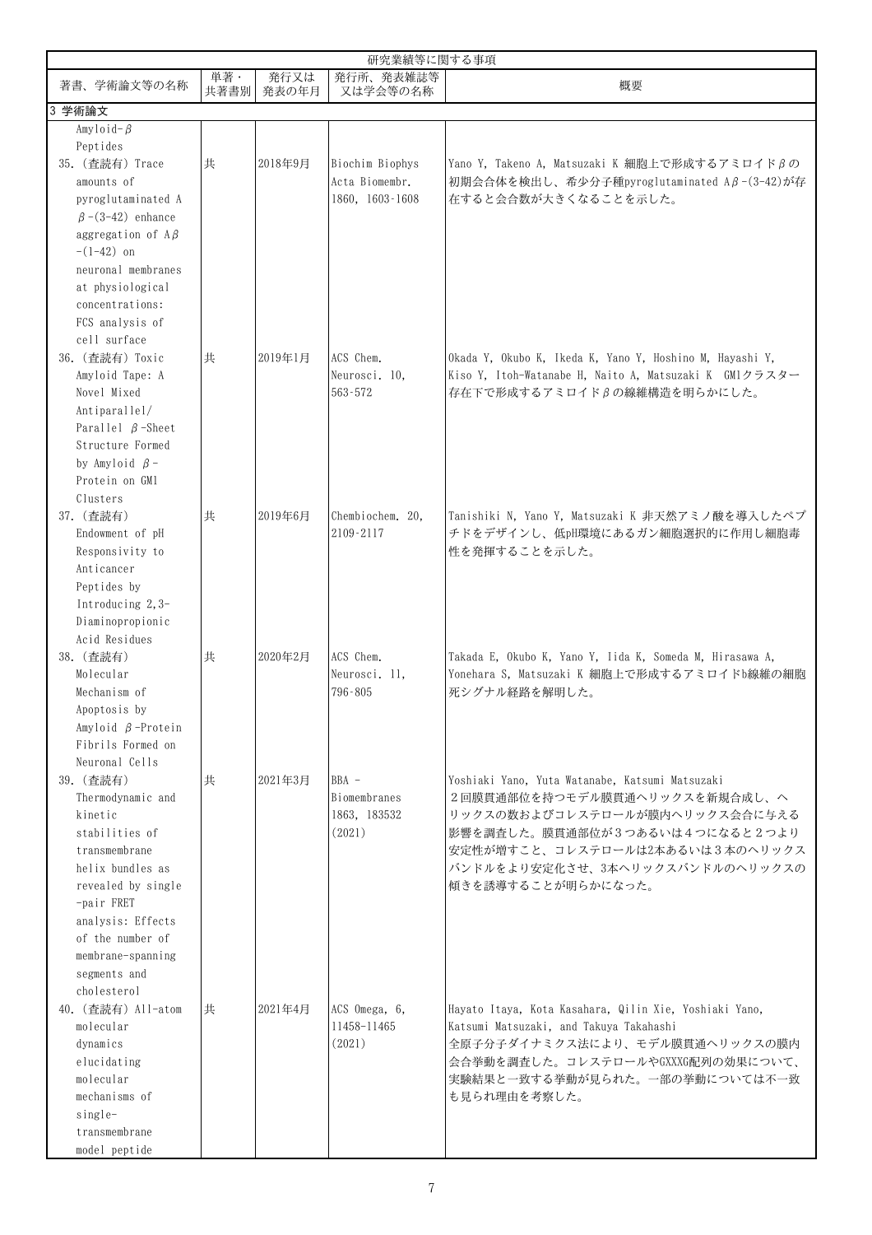|                                                                                                                                                                                                                                   | 研究業績等に関する事項 |               |                                                   |                                                                                                                                                                                                                                                  |  |  |
|-----------------------------------------------------------------------------------------------------------------------------------------------------------------------------------------------------------------------------------|-------------|---------------|---------------------------------------------------|--------------------------------------------------------------------------------------------------------------------------------------------------------------------------------------------------------------------------------------------------|--|--|
| 著書、学術論文等の名称                                                                                                                                                                                                                       | 単著·<br>共著書別 | 発行又は<br>発表の年月 | 発行所、発表雑誌等<br>又は学会等の名称                             | 概要                                                                                                                                                                                                                                               |  |  |
| 学術論文<br>3                                                                                                                                                                                                                         |             |               |                                                   |                                                                                                                                                                                                                                                  |  |  |
| Amyloid- $\beta$<br>Peptides<br>35. (查読有) Trace                                                                                                                                                                                   | 共           | 2018年9月       | Biochim Biophys                                   | Yano Y, Takeno A, Matsuzaki K 細胞上で形成するアミロイドβの                                                                                                                                                                                                    |  |  |
| amounts of<br>pyroglutaminated A<br>$\beta$ -(3-42) enhance<br>aggregation of $A\beta$<br>$-(1-42)$ on<br>neuronal membranes<br>at physiological<br>concentrations:<br>FCS analysis of                                            |             |               | Acta Biomembr.<br>1860, 1603-1608                 | 初期会合体を検出し、希少分子種pyroglutaminated Aβ-(3-42)が存<br>在すると会合数が大きくなることを示した。                                                                                                                                                                              |  |  |
| cell surface<br>36. (查読有) Toxic<br>Amyloid Tape: A<br>Novel Mixed<br>Antiparallel/<br>Parallel $\beta$ -Sheet<br>Structure Formed<br>by Amyloid $\beta$ -<br>Protein on GM1<br>Clusters                                           | 共           | 2019年1月       | ACS Chem.<br>Neurosci. 10.<br>563-572             | Okada Y, Okubo K, Ikeda K, Yano Y, Hoshino M, Hayashi Y,<br>Kiso Y, Itoh-Watanabe H, Naito A, Matsuzaki K GM1クラスター<br>存在下で形成するアミロイドβの線維構造を明らかにした。                                                                                                |  |  |
| 37. (查読有)<br>Endowment of pH<br>Responsivity to<br>Anticancer<br>Peptides by<br>Introducing 2,3-<br>Diaminopropionic<br>Acid Residues                                                                                             | 共           | 2019年6月       | Chembiochem. 20,<br>2109-2117                     | Tanishiki N, Yano Y, Matsuzaki K 非天然アミノ酸を導入したペプ<br>チドをデザインし、低pH環境にあるガン細胞選択的に作用し細胞毒<br>性を発揮することを示した。                                                                                                                                              |  |  |
| 38. (查読有)<br>Molecular<br>Mechanism of<br>Apoptosis by<br>Amyloid $\beta$ -Protein<br>Fibrils Formed on<br>Neuronal Cells                                                                                                         | 共           | 2020年2月       | ACS Chem.<br>Neurosci. 11,<br>796-805             | Takada E, Okubo K, Yano Y, Iida K, Someda M, Hirasawa A,<br>Yonehara S, Matsuzaki K 細胞上で形成するアミロイドb線維の細胞<br>死シグナル経路を解明した。                                                                                                                         |  |  |
| 39. (查読有)<br>Thermodynamic and<br>kinetic<br>stabilities of<br>transmembrane<br>helix bundles as<br>revealed by single<br>-pair FRET<br>analysis: Effects<br>of the number of<br>membrane-spanning<br>segments and<br>cholesterol | 共           | 2021年3月       | $BBA -$<br>Biomembranes<br>1863, 183532<br>(2021) | Yoshiaki Yano, Yuta Watanabe, Katsumi Matsuzaki<br>2回膜貫通部位を持つモデル膜貫通ヘリックスを新規合成し、ヘ<br>リックスの数およびコレステロールが膜内ヘリックス会合に与える<br>影響を調査した。膜貫通部位が3つあるいは4つになると2つより<br>安定性が増すこと、コレステロールは2本あるいは3本のヘリックス<br>バンドルをより安定化させ、3本ヘリックスバンドルのヘリックスの<br>傾きを誘導することが明らかになった。 |  |  |
| 40. (查読有) All-atom<br>molecular<br>dynamics<br>elucidating<br>molecular<br>mechanisms of<br>single-<br>transmembrane<br>model peptide                                                                                             | 共           | 2021年4月       | ACS Omega, 6,<br>11458-11465<br>(2021)            | Hayato Itaya, Kota Kasahara, Qilin Xie, Yoshiaki Yano,<br>Katsumi Matsuzaki, and Takuya Takahashi<br>全原子分子ダイナミクス法により、モデル膜貫通ヘリックスの膜内<br>会合挙動を調査した。コレステロールやGXXXG配列の効果について、<br>実験結果と一致する挙動が見られた。一部の挙動については不一致<br>も見られ理由を考察した。                       |  |  |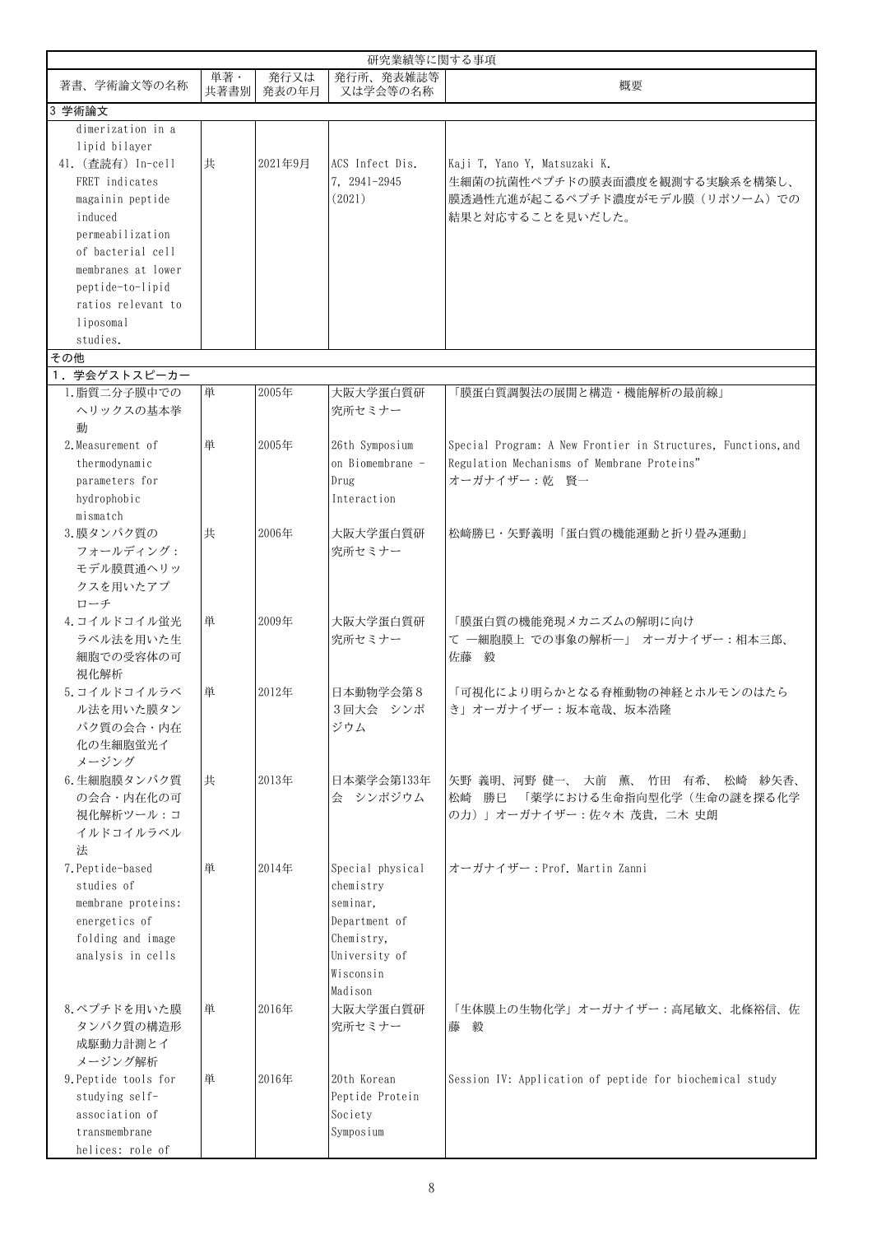|                      |             |               | 研究業績等に関する事項           |                                                               |
|----------------------|-------------|---------------|-----------------------|---------------------------------------------------------------|
| 著書、学術論文等の名称          | 単著·<br>共著書別 | 発行又は<br>発表の年月 | 発行所、発表雑誌等<br>又は学会等の名称 | 概要                                                            |
| 3 学術論文               |             |               |                       |                                                               |
| dimerization in a    |             |               |                       |                                                               |
| lipid bilayer        |             |               |                       |                                                               |
| 41. (查読有) In-cell    | 共           | 2021年9月       | ACS Infect Dis.       | Kaji T, Yano Y, Matsuzaki K.                                  |
| FRET indicates       |             |               | 7. 2941-2945          | 生細菌の抗菌性ペプチドの膜表面濃度を観測する実験系を構築し、                                |
| magainin peptide     |             |               | (2021)                | 膜透過性亢進が起こるペプチド濃度がモデル膜(リポソーム)での                                |
| induced              |             |               |                       | 結果と対応することを見いだした。                                              |
| permeabilization     |             |               |                       |                                                               |
| of bacterial cell    |             |               |                       |                                                               |
| membranes at lower   |             |               |                       |                                                               |
| peptide-to-lipid     |             |               |                       |                                                               |
| ratios relevant to   |             |               |                       |                                                               |
| liposomal            |             |               |                       |                                                               |
| studies.             |             |               |                       |                                                               |
| その他                  |             |               |                       |                                                               |
| 学会ゲストスピーカー<br>1.     |             |               |                       |                                                               |
| 1. 脂質二分子膜中での         | 単           | 2005年         | 大阪大学蛋白質研              | 「膜蛋白質調製法の展開と構造・機能解析の最前線」                                      |
| ヘリックスの基本挙            |             |               | 究所セミナー                |                                                               |
| 動                    |             |               |                       |                                                               |
| 2. Measurement of    | 単           | 2005年         | 26th Symposium        | Special Program: A New Frontier in Structures, Functions, and |
| thermodynamic        |             |               | on Biomembrane -      | Regulation Mechanisms of Membrane Proteins"                   |
| parameters for       |             |               | Drug                  | オーガナイザー: 乾 賢一                                                 |
| hydrophobic          |             |               | Interaction           |                                                               |
| mismatch             |             |               |                       |                                                               |
| 3.膜タンパク質の            | 共           | 2006年         | 大阪大学蛋白質研              | 松﨑勝巳・矢野義明「蛋白質の機能運動と折り畳み運動」                                    |
| フォールディング:            |             |               | 究所セミナー                |                                                               |
| モデル膜貫通ヘリッ            |             |               |                       |                                                               |
| クスを用いたアプ             |             |               |                       |                                                               |
| ローチ                  |             |               |                       |                                                               |
| 4. コイルドコイル蛍光         | 単           | 2009年         | 大阪大学蛋白質研              | 「膜蛋白質の機能発現メカニズムの解明に向け                                         |
| ラベル法を用いた生            |             |               | 究所セミナー                | て 一細胞膜上 での事象の解析一」 オーガナイザー:相本三郎、                               |
| 細胞での受容体の可            |             |               |                       | 佐藤 毅                                                          |
| 視化解析                 |             |               |                       |                                                               |
| 5. コイルドコイルラベ         | 単           | 2012年         | 日本動物学会第8              | 「可視化により明らかとなる脊椎動物の神経とホルモンのはたら                                 |
| ル法を用いた膜タン            |             |               | 3回大会 シンポ              | き」オーガナイザー:坂本竜哉、坂本浩隆                                           |
| パク質の会合・内在            |             |               | ジウム                   |                                                               |
| 化の生細胞蛍光イ             |             |               |                       |                                                               |
| メージング                |             |               |                       |                                                               |
| 6. 生細胞膜タンパク質         | 共           | 2013年         | 日本薬学会第133年            | 矢野 義明、河野 健一、 大前 薫、 竹田 有希、 松崎 紗矢香、                             |
| の会合・内在化の可            |             |               | 会 シンポジウム              | 「薬学における生命指向型化学(生命の謎を探る化学<br>松崎 勝巳                             |
| 視化解析ツール:コ            |             |               |                       | の力)」オーガナイザー:佐々木 茂貴, 二木 史朗                                     |
| イルドコイルラベル            |             |               |                       |                                                               |
| 法                    |             |               |                       |                                                               |
| 7. Peptide-based     | 単           | 2014年         | Special physical      | オーガナイザー: Prof. Martin Zanni                                   |
| studies of           |             |               | chemistry             |                                                               |
| membrane proteins:   |             |               | seminar,              |                                                               |
| energetics of        |             |               | Department of         |                                                               |
| folding and image    |             |               | Chemistry,            |                                                               |
| analysis in cells    |             |               | University of         |                                                               |
|                      |             |               | Wisconsin             |                                                               |
|                      |             |               | Madison               |                                                               |
| 8.ペプチドを用いた膜          | 単           | 2016年         | 大阪大学蛋白質研              | 「生体膜上の生物化学」オーガナイザー:高尾敏文、北條裕信、佐                                |
| タンパク質の構造形            |             |               | 究所セミナー                | 藤毅                                                            |
| 成駆動力計測とイ             |             |               |                       |                                                               |
| メージング解析              |             |               |                       |                                                               |
| 9. Peptide tools for | 単           | 2016年         | 20th Korean           | Session IV: Application of peptide for biochemical study      |
| studying self-       |             |               | Peptide Protein       |                                                               |
| association of       |             |               | Society               |                                                               |
| transmembrane        |             |               | Symposium             |                                                               |
| helices: role of     |             |               |                       |                                                               |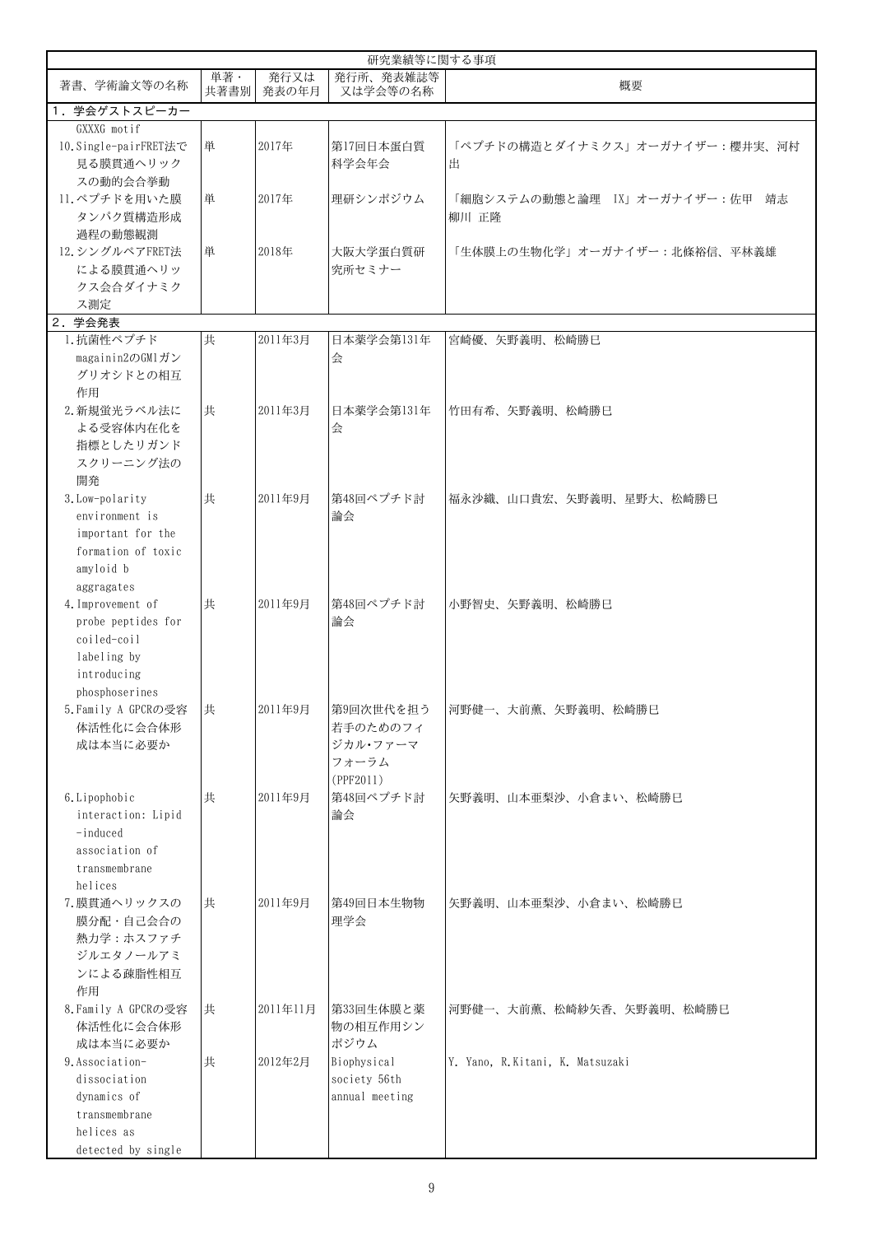|                                         |             |               | 研究業績等に関する事項           |                                 |
|-----------------------------------------|-------------|---------------|-----------------------|---------------------------------|
| 著書、学術論文等の名称                             | 単著·<br>共著書別 | 発行又は<br>発表の年月 | 発行所、発表雑誌等<br>又は学会等の名称 | 概要                              |
| 1. 学会ゲストスピーカー                           |             |               |                       |                                 |
| GXXXG motif                             |             |               |                       |                                 |
| 10. Single-pairFRET法で                   | 単           | 2017年         | 第17回日本蛋白質             | 「ペプチドの構造とダイナミクス」オーガナイザー:櫻井実、河村  |
| 見る膜貫通ヘリック                               |             |               | 科学会年会                 | 出                               |
| スの動的会合挙動                                |             |               |                       |                                 |
| 11.ペプチドを用いた膜                            | 単           | 2017年         | 理研シンポジウム              | 「細胞システムの動態と論理 IX」オーガナイザー:佐甲 靖志  |
| タンパク質構造形成                               |             |               |                       | 柳川 正降                           |
| 過程の動態観測                                 |             |               |                       |                                 |
| 12. シングルペアFRET法                         | 単           | 2018年         | 大阪大学蛋白質研              | 「生体膜上の生物化学」オーガナイザー:北條裕信、平林義雄    |
| による膜貫通ヘリッ                               |             |               | 究所セミナー                |                                 |
| クス会合ダイナミク                               |             |               |                       |                                 |
| ス測定                                     |             |               |                       |                                 |
| 2. 学会発表                                 |             |               |                       |                                 |
| 1. 抗菌性ペプチド                              | 共           | 2011年3月       | 日本薬学会第131年            | 宮崎優、矢野義明、松崎勝巳                   |
| magainin2のGM1ガン                         |             |               | 会                     |                                 |
| グリオシドとの相互                               |             |               |                       |                                 |
| 作用                                      |             |               |                       |                                 |
| 2. 新規蛍光ラベル法に                            | 共           | 2011年3月       | 日本薬学会第131年            | 竹田有希、矢野義明、松崎勝巳                  |
| よる受容体内在化を                               |             |               | 会                     |                                 |
| 指標としたリガンド                               |             |               |                       |                                 |
| スクリーニング法の                               |             |               |                       |                                 |
| 開発                                      |             |               |                       |                                 |
| 3. Low-polarity                         | 共           | 2011年9月       | 第48回ペプチド討             | 福永沙織、山口貴宏、矢野義明、星野大、松崎勝巳         |
| environment is                          |             |               | 論会                    |                                 |
| important for the                       |             |               |                       |                                 |
| formation of toxic                      |             |               |                       |                                 |
| amyloid b                               |             |               |                       |                                 |
| aggragates                              |             |               | 第48回ペプチド討             |                                 |
| 4. Improvement of<br>probe peptides for | 共           | 2011年9月       | 論会                    | 小野智史、矢野義明、松崎勝巳                  |
| coiled-coil                             |             |               |                       |                                 |
| labeling by                             |             |               |                       |                                 |
| introducing                             |             |               |                       |                                 |
| phosphoserines                          |             |               |                       |                                 |
| 5. Family A GPCRの受容                     | 共           | 2011年9月       |                       | 第9回次世代を担う  河野健一、大前薫、矢野義明、松崎勝巳   |
| 体活性化に会合体形                               |             |               | 若手のためのフィ              |                                 |
| 成は本当に必要か                                |             |               | ジカル・ファーマ              |                                 |
|                                         |             |               | フォーラム                 |                                 |
|                                         |             |               | (PPF2011)             |                                 |
| 6. Lipophobic                           | 共           | 2011年9月       | 第48回ペプチド討             | 矢野義明、山本亜梨沙、小倉まい、松崎勝巳            |
| interaction: Lipid                      |             |               | 論会                    |                                 |
| $-induced$                              |             |               |                       |                                 |
| association of                          |             |               |                       |                                 |
| transmembrane                           |             |               |                       |                                 |
| helices                                 |             |               |                       |                                 |
| 7. 膜貫通ヘリックスの                            | 共           | 2011年9月       | 第49回日本生物物             | 矢野義明、山本亜梨沙、小倉まい、松崎勝巳            |
| 膜分配・自己会合の                               |             |               | 理学会                   |                                 |
| 熱力学:ホスファチ                               |             |               |                       |                                 |
| ジルエタノールアミ                               |             |               |                       |                                 |
| ンによる疎脂性相互                               |             |               |                       |                                 |
| 作用                                      |             |               |                       |                                 |
| 8. Family A GPCRの受容                     | 共           | 2011年11月      | 第33回生体膜と薬             | 河野健一、大前薫、松崎紗矢香、矢野義明、松崎勝巳        |
| 体活性化に会合体形                               |             |               | 物の相互作用シン              |                                 |
| 成は本当に必要か                                |             |               | ポジウム                  |                                 |
| 9. Association-                         | 共           | 2012年2月       | Biophysical           | Y. Yano, R.Kitani, K. Matsuzaki |
| dissociation                            |             |               | society 56th          |                                 |
| dynamics of                             |             |               | annual meeting        |                                 |
| transmembrane                           |             |               |                       |                                 |
| helices as                              |             |               |                       |                                 |
| detected by single                      |             |               |                       |                                 |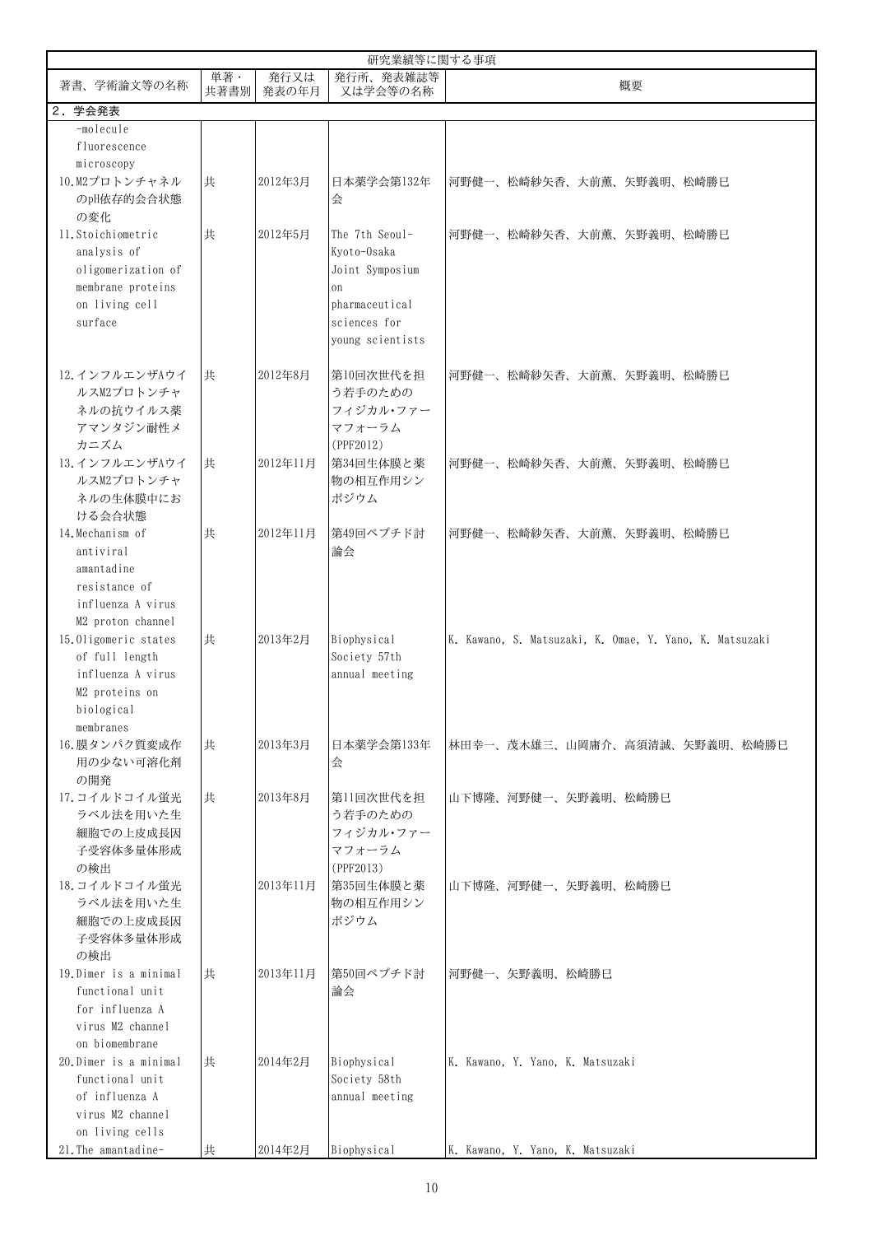|                                                                                                           |             |               | 研究業績等に関する事項                                                                                                  |                                                         |
|-----------------------------------------------------------------------------------------------------------|-------------|---------------|--------------------------------------------------------------------------------------------------------------|---------------------------------------------------------|
| 著書、学術論文等の名称                                                                                               | 単著·<br>共著書別 | 発行又は<br>発表の年月 | 発行所、発表雑誌等<br>又は学会等の名称                                                                                        | 概要                                                      |
| 2. 学会発表                                                                                                   |             |               |                                                                                                              |                                                         |
| -molecule<br>fluorescence<br>microscopy                                                                   |             |               |                                                                                                              |                                                         |
| 10.M2プロトンチャネル<br>のpH依存的会合状態<br>の変化                                                                        | 共           | 2012年3月       | 日本薬学会第132年<br>会                                                                                              | 河野健一、松崎紗矢香、大前薫、矢野義明、松崎勝巳                                |
| 11. Stoichiometric<br>analysis of<br>oligomerization of<br>membrane proteins<br>on living cell<br>surface | 共           | 2012年5月       | The 7th Seoul-<br>Kyoto-Osaka<br>Joint Symposium<br>on<br>pharmaceutical<br>sciences for<br>young scientists | 河野健一、松崎紗矢香、大前薫、矢野義明、松崎勝巳                                |
| 12. インフルエンザAウイ<br>ルスM2プロトンチャ<br>ネルの抗ウイルス薬<br>アマンタジン耐性メ<br>カニズム                                            | 共           | 2012年8月       | 第10回次世代を担<br>う若手のための<br>フィジカル・ファー<br>マフォーラム<br>(PPF2012)                                                     | 河野健一、松崎紗矢香、大前薫、矢野義明、松崎勝巳                                |
| 13. インフルエンザAウイ<br>ルスM2プロトンチャ<br>ネルの生体膜中にお<br>ける会合状態                                                       | 共           | 2012年11月      | 第34回生体膜と薬<br>物の相互作用シン<br>ポジウム                                                                                | 河野健一、松崎紗矢香、大前薫、矢野義明、松崎勝巳                                |
| 14. Mechanism of<br>antiviral<br>amantadine<br>resistance of<br>influenza A virus<br>M2 proton channel    | 共           | 2012年11月      | 第49回ペプチド討<br>論会                                                                                              | 河野健一、松崎紗矢香、大前薫、矢野義明、松崎勝巳                                |
| 15.0ligomeric states<br>of full length<br>influenza A virus<br>M2 proteins on<br>biological<br>membranes  | 共           | 2013年2月       | Biophysical<br>Society 57th<br>annual meeting                                                                | K. Kawano, S. Matsuzaki, K. Omae, Y. Yano, K. Matsuzaki |
| 16.膜タンパク質変成作<br>用の少ない可溶化剤<br>の開発                                                                          | 共           | 2013年3月       | 日本薬学会第133年<br>会                                                                                              | 林田幸一、茂木雄三、山岡庸介、高須清誠、矢野義明、松崎勝巳                           |
| 17. コイルドコイル蛍光<br>ラベル法を用いた生<br>細胞での上皮成長因<br>子受容体多量体形成<br>の検出                                               | 共           | 2013年8月       | 第11回次世代を担<br>う若手のための<br>フィジカル・ファー<br>マフォーラム<br>(PPF2013)                                                     | 山下博降、河野健一、矢野義明、松崎勝巳                                     |
| 18. コイルドコイル蛍光<br>ラベル法を用いた生<br>細胞での上皮成長因<br>子受容体多量体形成<br>の検出                                               |             | 2013年11月      | 第35回生体膜と薬<br>物の相互作用シン<br>ポジウム                                                                                | 山下博隆、河野健一、矢野義明、松崎勝巳                                     |
| 19. Dimer is a minimal<br>functional unit<br>for influenza A<br>virus M2 channel<br>on biomembrane        | 共           | 2013年11月      | 第50回ペプチド討<br>論会                                                                                              | 河野健一、矢野義明、松崎勝巳                                          |
| 20. Dimer is a minimal<br>functional unit<br>of influenza A<br>virus M2 channel<br>on living cells        | 共           | 2014年2月       | Biophysical<br>Society 58th<br>annual meeting                                                                | K. Kawano, Y. Yano, K. Matsuzaki                        |
| 21. The amantadine-                                                                                       | 共           | 2014年2月       | Biophysical                                                                                                  | K. Kawano, Y. Yano, K. Matsuzaki                        |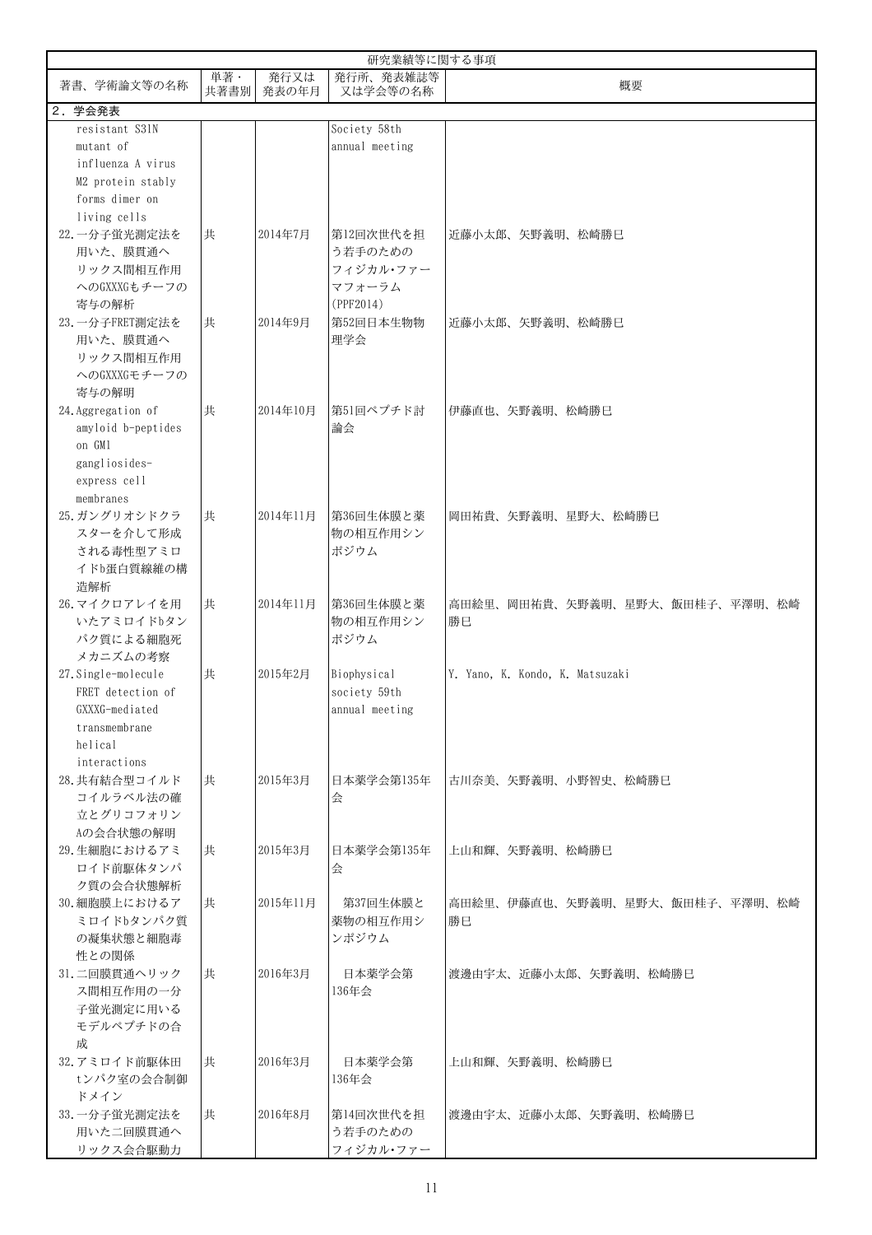|                     |             |               | 研究業績等に関する事項           |                                 |
|---------------------|-------------|---------------|-----------------------|---------------------------------|
| 著書、学術論文等の名称         | 単著·<br>共著書別 | 発行又は<br>発表の年月 | 発行所、発表雑誌等<br>又は学会等の名称 | 概要                              |
| 2. 学会発表             |             |               |                       |                                 |
| resistant S31N      |             |               | Society 58th          |                                 |
| mutant of           |             |               | annual meeting        |                                 |
| influenza A virus   |             |               |                       |                                 |
| M2 protein stably   |             |               |                       |                                 |
| forms dimer on      |             |               |                       |                                 |
| living cells        |             |               |                       |                                 |
| 22. 一分子蛍光測定法を       | 共           | 2014年7月       | 第12回次世代を担             | 近藤小太郎、矢野義明、松崎勝巳                 |
| 用いた、膜貫通へ            |             |               | う若手のための               |                                 |
| リックス間相互作用           |             |               | フィジカル・ファー             |                                 |
|                     |             |               |                       |                                 |
| へのGXXXGもチーフの        |             |               | マフォーラム                |                                 |
| 寄与の解析               |             |               | (PPF2014)             |                                 |
| 23. 一分子FRET測定法を     | 共           | 2014年9月       | 第52回日本生物物             | 近藤小太郎、矢野義明、松崎勝巳                 |
| 用いた、膜貫通へ            |             |               | 理学会                   |                                 |
| リックス間相互作用           |             |               |                       |                                 |
| へのGXXXGモチーフの        |             |               |                       |                                 |
| 寄与の解明               |             |               |                       |                                 |
| 24. Aggregation of  | 共           | 2014年10月      | 第51回ペプチド討             | 伊藤直也、矢野義明、松崎勝巳                  |
| amyloid b-peptides  |             |               | 論会                    |                                 |
| on GM1              |             |               |                       |                                 |
| gangliosides-       |             |               |                       |                                 |
| express cell        |             |               |                       |                                 |
| membranes           |             |               |                       |                                 |
| 25. ガングリオシドクラ       | 共           | 2014年11月      | 第36回生体膜と薬             | 岡田祐貴、矢野義明、星野大、松崎勝巳              |
| スターを介して形成           |             |               | 物の相互作用シン              |                                 |
|                     |             |               |                       |                                 |
| される毒性型アミロ           |             |               | ポジウム                  |                                 |
| イドb蛋白質線維の構          |             |               |                       |                                 |
| 造解析                 |             |               |                       |                                 |
| 26. マイクロアレイを用       | 共           | 2014年11月      | 第36回生体膜と薬             | 高田絵里、岡田祐貴、矢野義明、星野大、飯田桂子、平澤明、松崎  |
| いたアミロイドbタン          |             |               | 物の相互作用シン              | 勝巳                              |
| パク質による細胞死           |             |               | ポジウム                  |                                 |
| メカニズムの考察            |             |               |                       |                                 |
| 27. Single-molecule | 共           | 2015年2月       | Biophysical           | Y. Yano, K. Kondo, K. Matsuzaki |
| FRET detection of   |             |               | society 59th          |                                 |
| GXXXG-mediated      |             |               | annual meeting        |                                 |
| transmembrane       |             |               |                       |                                 |
| helical             |             |               |                       |                                 |
| interactions        |             |               |                       |                                 |
| 28. 共有結合型コイルド       | 共           | 2015年3月       | 日本薬学会第135年            | 古川奈美、矢野義明、小野智史、松崎勝巳             |
| コイルラベル法の確           |             |               | 会                     |                                 |
| 立とグリコフォリン           |             |               |                       |                                 |
| Aの会合状態の解明           |             |               |                       |                                 |
| 29. 生細胞におけるアミ       | 共           | 2015年3月       | 日本薬学会第135年            | 上山和輝、矢野義明、松崎勝巳                  |
| ロイド前駆体タンパ           |             |               |                       |                                 |
|                     |             |               | 会                     |                                 |
| ク質の会合状態解析           |             |               |                       |                                 |
| 30. 細胞膜上におけるア       | 共           | 2015年11月      | 第37回生体膜と              | 高田絵里、伊藤直也、矢野義明、星野大、飯田桂子、平澤明、松崎  |
| ミロイドbタンパク質          |             |               | 薬物の相互作用シ              | 勝巳                              |
| の凝集状態と細胞毒           |             |               | ンポジウム                 |                                 |
| 性との関係               |             |               |                       |                                 |
| 31. 二回膜貫通ヘリック       | 共           | 2016年3月       | 日本薬学会第                | 渡邊由宇太、近藤小太郎、矢野義明、松崎勝巳           |
| ス間相互作用の一分           |             |               | 136年会                 |                                 |
| 子蛍光測定に用いる           |             |               |                       |                                 |
| モデルペプチドの合           |             |               |                       |                                 |
| 成                   |             |               |                       |                                 |
| 32. アミロイド前駆体田       | 共           | 2016年3月       | 日本薬学会第                | 上山和輝、矢野義明、松崎勝巳                  |
| tンパク室の会合制御          |             |               | 136年会                 |                                 |
| ドメイン                |             |               |                       |                                 |
| 33. 一分子蛍光測定法を       | 共           | 2016年8月       | 第14回次世代を担             | 渡邊由宇太、近藤小太郎、矢野義明、松崎勝巳           |
| 用いた二回膜貫通へ           |             |               | う若手のための               |                                 |
| リックス会合駆動力           |             |               | フィジカル・ファー             |                                 |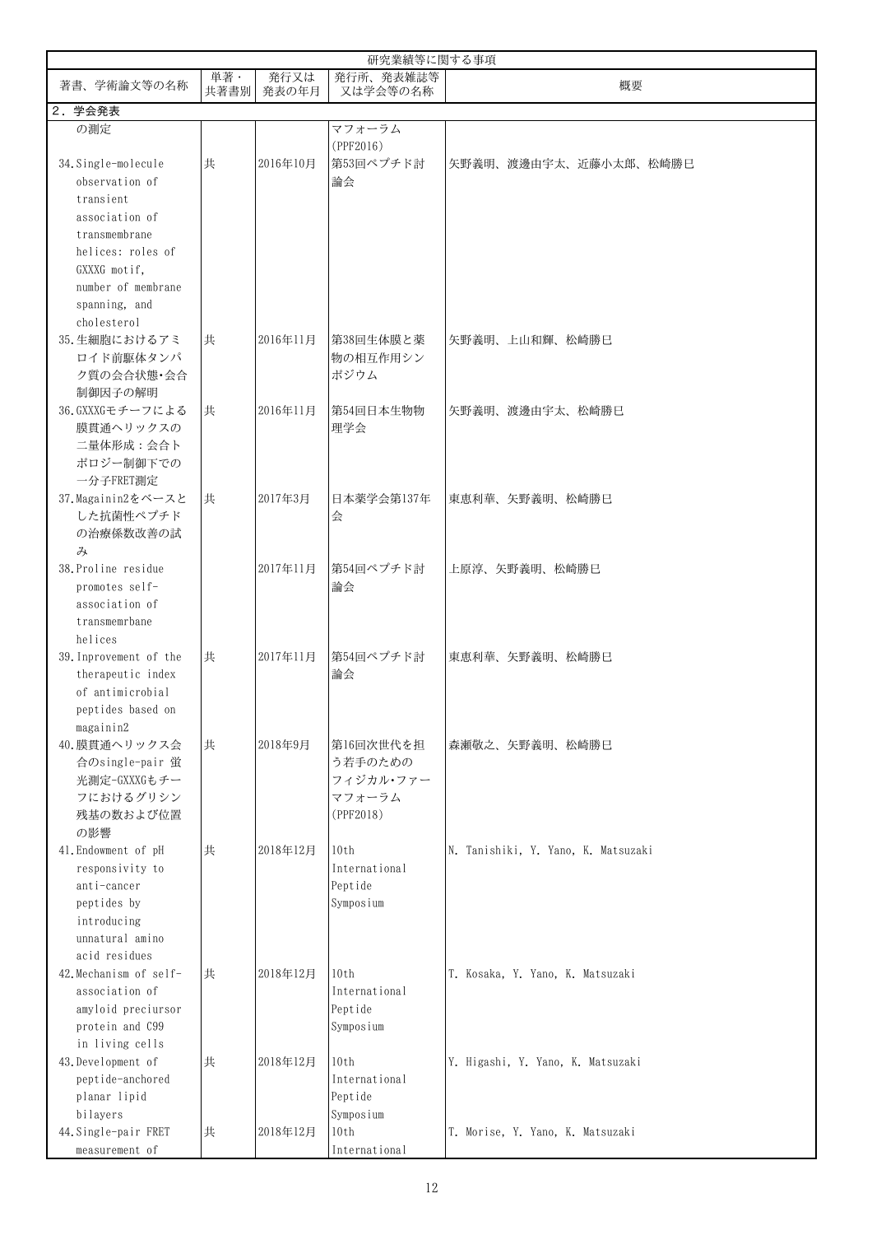|                        | 研究業績等に関する事項 |               |                       |                                     |  |  |
|------------------------|-------------|---------------|-----------------------|-------------------------------------|--|--|
| 著書、学術論文等の名称            | 単著·<br>共著書別 | 発行又は<br>発表の年月 | 発行所、発表雑誌等<br>又は学会等の名称 | 概要                                  |  |  |
| 2. 学会発表                |             |               |                       |                                     |  |  |
| の測定                    |             |               | マフォーラム<br>(PPF2016)   |                                     |  |  |
| 34. Single-molecule    | 共           | 2016年10月      | 第53回ペプチド討             | 矢野義明、渡邊由宇太、近藤小太郎、松崎勝巳               |  |  |
| observation of         |             |               | 論会                    |                                     |  |  |
| transient              |             |               |                       |                                     |  |  |
| association of         |             |               |                       |                                     |  |  |
| transmembrane          |             |               |                       |                                     |  |  |
| helices: roles of      |             |               |                       |                                     |  |  |
| GXXXG motif,           |             |               |                       |                                     |  |  |
| number of membrane     |             |               |                       |                                     |  |  |
| spanning, and          |             |               |                       |                                     |  |  |
| cholesterol            |             |               |                       |                                     |  |  |
| 35. 生細胞におけるアミ          | 共           | 2016年11月      | 第38回生体膜と薬             | 矢野義明、上山和輝、松崎勝巳                      |  |  |
| ロイド前駆体タンパ              |             |               | 物の相互作用シン              |                                     |  |  |
| ク質の会合状態・会合             |             |               | ポジウム                  |                                     |  |  |
| 制御因子の解明                |             |               |                       |                                     |  |  |
| 36.GXXXGモチーフによる        | 共           | 2016年11月      | 第54回日本生物物             | 矢野義明、渡邊由宇太、松崎勝巳                     |  |  |
| 膜貫通ヘリックスの              |             |               | 理学会                   |                                     |  |  |
| 二量体形成: 会合ト             |             |               |                       |                                     |  |  |
| ポロジー制御下での              |             |               |                       |                                     |  |  |
| 一分子FRET測定              |             |               |                       |                                     |  |  |
| 37. Magainin2をベースと     | 共           | 2017年3月       | 日本薬学会第137年            | 東恵利華、矢野義明、松崎勝巳                      |  |  |
| した抗菌性ペプチド              |             |               | 会                     |                                     |  |  |
| の治療係数改善の試              |             |               |                       |                                     |  |  |
| み                      |             |               |                       |                                     |  |  |
| 38. Proline residue    |             | 2017年11月      | 第54回ペプチド討             | 上原淳、矢野義明、松崎勝巳                       |  |  |
| promotes self-         |             |               | 論会                    |                                     |  |  |
| association of         |             |               |                       |                                     |  |  |
| transmemrbane          |             |               |                       |                                     |  |  |
| helices                |             |               |                       |                                     |  |  |
| 39. Inprovement of the | 共           | 2017年11月      | 第54回ペプチド討             | 東恵利華、矢野義明、松崎勝巳                      |  |  |
| therapeutic index      |             |               | 論会                    |                                     |  |  |
| of antimicrobial       |             |               |                       |                                     |  |  |
| peptides based on      |             |               |                       |                                     |  |  |
| magainin2              |             |               |                       |                                     |  |  |
| 40. 膜貫通ヘリックス会          | 共           | 2018年9月       | 第16回次世代を担             | 森瀬敬之、矢野義明、松崎勝巳                      |  |  |
| 合のsingle-pair 蛍        |             |               | う若手のための               |                                     |  |  |
| 光測定-GXXXGもチー           |             |               | フィジカル・ファー             |                                     |  |  |
| フにおけるグリシン              |             |               | マフォーラム<br>(PPF2018)   |                                     |  |  |
| 残基の数および位置<br>の影響       |             |               |                       |                                     |  |  |
| 41. Endowment of pH    | 共           | 2018年12月      | 10th                  | N. Tanishiki, Y. Yano, K. Matsuzaki |  |  |
| responsivity to        |             |               | International         |                                     |  |  |
| anti-cancer            |             |               | Peptide               |                                     |  |  |
| peptides by            |             |               | Symposium             |                                     |  |  |
| introducing            |             |               |                       |                                     |  |  |
| unnatural amino        |             |               |                       |                                     |  |  |
| acid residues          |             |               |                       |                                     |  |  |
| 42. Mechanism of self- | 共           | 2018年12月      | 10th                  | T. Kosaka, Y. Yano, K. Matsuzaki    |  |  |
| association of         |             |               | International         |                                     |  |  |
| amyloid preciursor     |             |               | Peptide               |                                     |  |  |
| protein and C99        |             |               | Symposium             |                                     |  |  |
| in living cells        |             |               |                       |                                     |  |  |
| 43. Development of     | 共           | 2018年12月      | 10th                  | Y. Higashi, Y. Yano, K. Matsuzaki   |  |  |
| peptide-anchored       |             |               | International         |                                     |  |  |
| planar lipid           |             |               | Peptide               |                                     |  |  |
| bilayers               |             |               | Symposium             |                                     |  |  |
| 44. Single-pair FRET   | 共           | 2018年12月      | 10th                  | T. Morise, Y. Yano, K. Matsuzaki    |  |  |
| measurement of         |             |               | International         |                                     |  |  |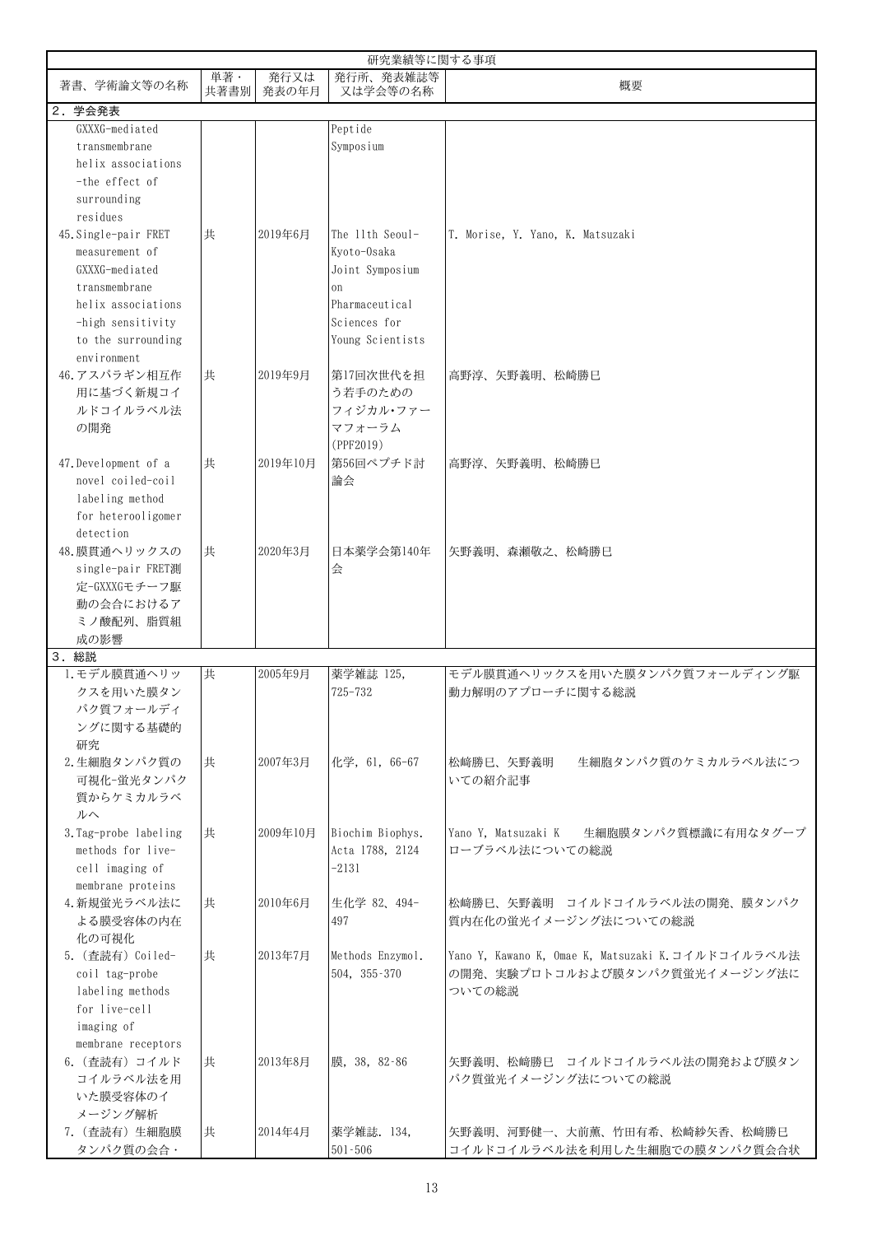| 研究業績等に関する事項                        |             |               |                                  |                                                                                      |  |  |
|------------------------------------|-------------|---------------|----------------------------------|--------------------------------------------------------------------------------------|--|--|
| 著書、学術論文等の名称                        | 単著·<br>共著書別 | 発行又は<br>発表の年月 | 発行所、発表雑誌等<br>又は学会等の名称            | 概要                                                                                   |  |  |
| 2. 学会発表                            |             |               |                                  |                                                                                      |  |  |
| GXXXG-mediated                     |             |               | Peptide                          |                                                                                      |  |  |
| transmembrane                      |             |               | Symposium                        |                                                                                      |  |  |
| helix associations                 |             |               |                                  |                                                                                      |  |  |
| -the effect of                     |             |               |                                  |                                                                                      |  |  |
| surrounding                        |             |               |                                  |                                                                                      |  |  |
| residues                           |             |               |                                  |                                                                                      |  |  |
| 45. Single-pair FRET               | 共           | 2019年6月       | The 11th Seoul-                  | T. Morise, Y. Yano, K. Matsuzaki                                                     |  |  |
| measurement of                     |             |               | Kvoto-Osaka                      |                                                                                      |  |  |
| GXXXG-mediated                     |             |               | Joint Symposium                  |                                                                                      |  |  |
| transmembrane                      |             |               | <sub>on</sub>                    |                                                                                      |  |  |
| helix associations                 |             |               | Pharmaceutical                   |                                                                                      |  |  |
| -high sensitivity                  |             |               | Sciences for                     |                                                                                      |  |  |
| to the surrounding                 |             |               | Young Scientists                 |                                                                                      |  |  |
| environment                        |             |               |                                  |                                                                                      |  |  |
|                                    |             |               |                                  |                                                                                      |  |  |
| 46. アスパラギン相互作                      | 共           | 2019年9月       | 第17回次世代を担                        | 高野淳、矢野義明、松崎勝巳                                                                        |  |  |
| 用に基づく新規コイ                          |             |               | う若手のための                          |                                                                                      |  |  |
| ルドコイルラベル法                          |             |               | フィジカル・ファー                        |                                                                                      |  |  |
| の開発                                |             |               | マフォーラム                           |                                                                                      |  |  |
|                                    |             |               | (PPF2019)                        |                                                                                      |  |  |
| 47. Development of a               | 共           | 2019年10月      | 第56回ペプチド討                        | 高野淳、矢野義明、松崎勝巳                                                                        |  |  |
| novel coiled-coil                  |             |               | 論会                               |                                                                                      |  |  |
| labeling method                    |             |               |                                  |                                                                                      |  |  |
| for heterooligomer                 |             |               |                                  |                                                                                      |  |  |
| detection                          |             |               |                                  |                                                                                      |  |  |
| 48. 膜貫通ヘリックスの                      | 共           | 2020年3月       | 日本薬学会第140年                       | 矢野義明、森瀬敬之、松崎勝巳                                                                       |  |  |
| single-pair FRET測                  |             |               | 会                                |                                                                                      |  |  |
| 定-GXXXGモチーフ駆                       |             |               |                                  |                                                                                      |  |  |
| 動の会合におけるア                          |             |               |                                  |                                                                                      |  |  |
| ミノ酸配列、脂質組                          |             |               |                                  |                                                                                      |  |  |
| 成の影響                               |             |               |                                  |                                                                                      |  |  |
| 3. 総説                              |             |               |                                  |                                                                                      |  |  |
| 1. モデル膜貫通ヘリッ                       | 共           | 2005年9月       | 薬学雑誌 125,                        | モデル膜貫通ヘリックスを用いた膜タンパク質フォールディング駆                                                       |  |  |
| クスを用いた膜タン                          |             |               | 725-732                          | 動力解明のアプローチに関する総説                                                                     |  |  |
| パク質フォールディ                          |             |               |                                  |                                                                                      |  |  |
| ングに関する基礎的                          |             |               |                                  |                                                                                      |  |  |
| 研究                                 |             |               |                                  |                                                                                      |  |  |
| 2. 生細胞タンパク質の                       | 共           | 2007年3月       | 化学, 61, 66-67                    | 松崎勝巳、矢野義明<br>生細胞タンパク質のケミカルラベル法につ                                                     |  |  |
| 可視化-蛍光タンパク                         |             |               |                                  | いての紹介記事                                                                              |  |  |
| 質からケミカルラベ                          |             |               |                                  |                                                                                      |  |  |
| ルヘ                                 |             |               |                                  |                                                                                      |  |  |
| 3.Tag-probe labeling               | 共           | 2009年10月      | Biochim Biophys.                 | Yano Y. Matsuzaki K<br>生細胞膜タンパク質標識に有用なタグープ                                           |  |  |
| methods for live-                  |             |               | Acta 1788, 2124                  | ローブラベル法についての総説                                                                       |  |  |
| cell imaging of                    |             |               | $-2131$                          |                                                                                      |  |  |
| membrane proteins                  |             |               |                                  |                                                                                      |  |  |
| 4. 新規蛍光ラベル法に                       | 共           | 2010年6月       | 生化学 82、494-                      | 松﨑勝巳、矢野義明 コイルドコイルラベル法の開発、膜タンパク                                                       |  |  |
| よる膜受容体の内在                          |             |               | 497                              | 質内在化の蛍光イメージング法についての総説                                                                |  |  |
| 化の可視化                              |             |               |                                  |                                                                                      |  |  |
|                                    |             |               |                                  |                                                                                      |  |  |
| 5. (查読有) Coiled-<br>coil tag-probe | 共           | 2013年7月       | Methods Enzymol.<br>504, 355-370 | Yano Y, Kawano K, Omae K, Matsuzaki K. コイルドコイルラベル法<br>の開発、実験プロトコルおよび膜タンパク質蛍光イメージング法に |  |  |
|                                    |             |               |                                  |                                                                                      |  |  |
| labeling methods                   |             |               |                                  | ついての総説                                                                               |  |  |
| for live-cell                      |             |               |                                  |                                                                                      |  |  |
| imaging of                         |             |               |                                  |                                                                                      |  |  |
| membrane receptors                 |             |               |                                  |                                                                                      |  |  |
| 6. (査読有) コイルド                      | 共           | 2013年8月       | 膜, 38, 82-86                     | 矢野義明、松崎勝巳 コイルドコイルラベル法の開発および膜タン                                                       |  |  |
| コイルラベル法を用                          |             |               |                                  | パク質蛍光イメージング法についての総説                                                                  |  |  |
| いた膜受容体のイ                           |             |               |                                  |                                                                                      |  |  |
| メージング解析                            |             |               |                                  |                                                                                      |  |  |
| 7. (查読有) 生細胞膜                      | 共           | 2014年4月       | 薬学雑誌. 134,                       | 矢野義明、河野健一、大前薫、竹田有希、松崎紗矢香、松崎勝巳                                                        |  |  |
| タンパク質の会合・                          |             |               | $501 - 506$                      | コイルドコイルラベル法を利用した生細胞での膜タンパク質会合状                                                       |  |  |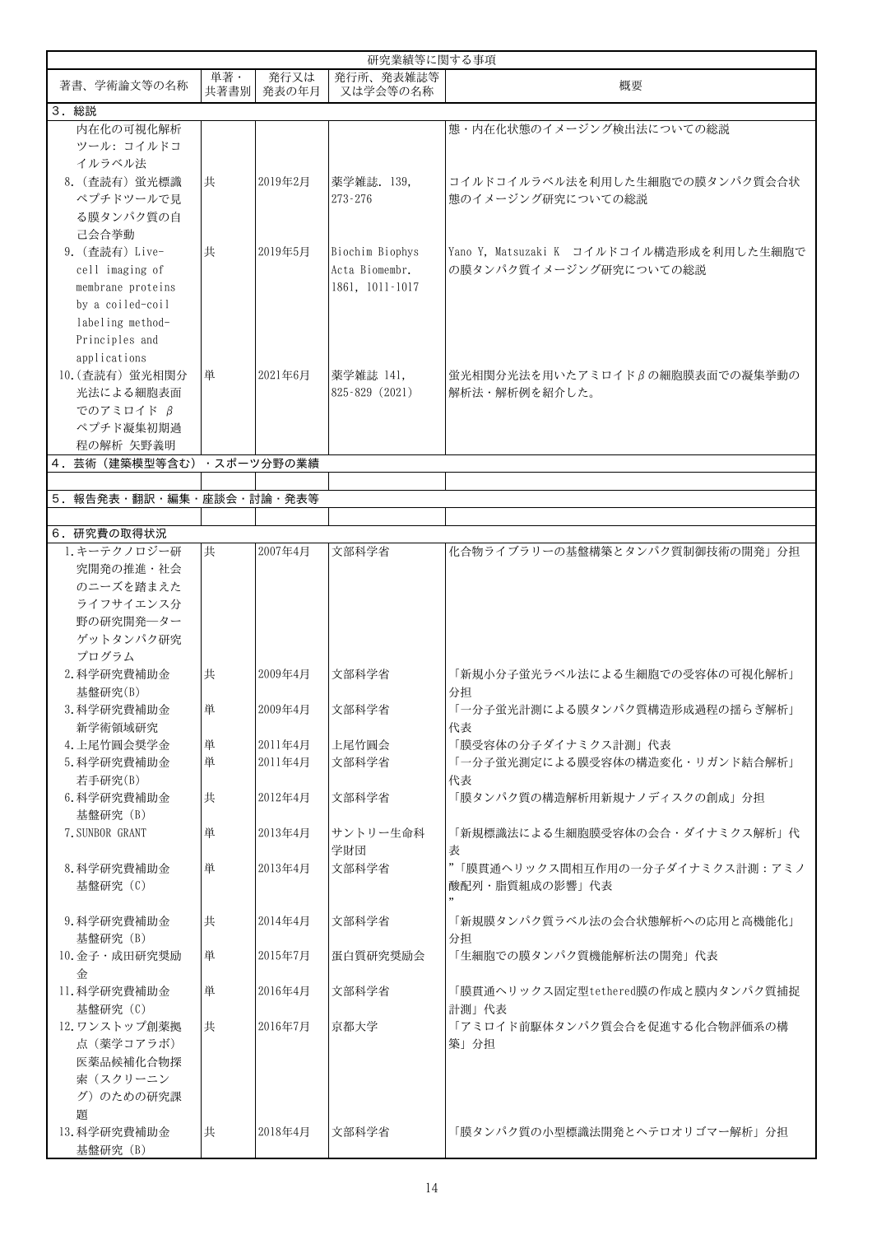| 研究業績等に関する事項                                            |             |               |                                                      |                                                                    |  |  |
|--------------------------------------------------------|-------------|---------------|------------------------------------------------------|--------------------------------------------------------------------|--|--|
| 著書、学術論文等の名称                                            | 単著·<br>共著書別 | 発行又は<br>発表の年月 | 発行所、発表雑誌等<br>又は学会等の名称                                | 概要                                                                 |  |  |
| 3. 総説                                                  |             |               |                                                      |                                                                    |  |  |
| 内在化の可視化解析<br>ツール: コイルドコ                                |             |               |                                                      | 態・内在化状態のイメージング検出法についての総説                                           |  |  |
| イルラベル法<br>8. (查読有) 蛍光標識<br>ペプチドツールで見                   | 共           | 2019年2月       | 薬学雑誌. 139,<br>$273 - 276$                            | コイルドコイルラベル法を利用した生細胞での膜タンパク質会合状<br>熊のイメージング研究についての総説                |  |  |
| る膜タンパク質の自<br>己会合挙動                                     |             |               |                                                      |                                                                    |  |  |
| 9. (查読有) Live-<br>cell imaging of<br>membrane proteins | 共           | 2019年5月       | Biochim Biophys<br>Acta Biomembr.<br>1861, 1011-1017 | Yano Y, Matsuzaki K コイルドコイル構造形成を利用した生細胞で<br>の膜タンパク質イメージング研究についての総説 |  |  |
| by a coiled-coil<br>labeling method-                   |             |               |                                                      |                                                                    |  |  |
| Principles and<br>applications<br>10. (查読有) 蛍光相関分      | 単           | 2021年6月       | 薬学雑誌 141,                                            | 蛍光相関分光法を用いたアミロイドβの細胞膜表面での凝集挙動の                                     |  |  |
| 光法による細胞表面<br>でのアミロイド β<br>ペプチド凝集初期過                    |             |               | 825-829 (2021)                                       | 解析法・解析例を紹介した。                                                      |  |  |
| 程の解析 矢野義明                                              |             |               |                                                      |                                                                    |  |  |
| 4. 芸術 (建築模型等含む) · スポーツ分野の業績                            |             |               |                                                      |                                                                    |  |  |
|                                                        |             |               |                                                      |                                                                    |  |  |
| 5. 報告発表・翻訳・編集・座談会・討論・発表等                               |             |               |                                                      |                                                                    |  |  |
|                                                        |             |               |                                                      |                                                                    |  |  |
| 6. 研究費の取得状況                                            |             |               |                                                      |                                                                    |  |  |
| 1. キーテクノロジー研                                           | 共           | 2007年4月       | 文部科学省                                                | 化合物ライブラリーの基盤構築とタンパク質制御技術の開発」分担                                     |  |  |
| 究開発の推進・社会                                              |             |               |                                                      |                                                                    |  |  |
| のニーズを踏まえた                                              |             |               |                                                      |                                                                    |  |  |
| ライフサイエンス分                                              |             |               |                                                      |                                                                    |  |  |
| 野の研究開発一ター<br>ゲットタンパク研究                                 |             |               |                                                      |                                                                    |  |  |
| プログラム                                                  |             |               |                                                      |                                                                    |  |  |
| 2. 科学研究費補助金                                            | 共           | 2009年4月       | 文部科学省                                                | 「新規小分子蛍光ラベル法による生細胞での受容体の可視化解析」                                     |  |  |
| 基盤研究(B)                                                |             |               |                                                      | 分担                                                                 |  |  |
| 3. 科学研究費補助金                                            | 単           | 2009年4月       | 文部科学省                                                | 「一分子蛍光計測による膜タンパク質構造形成過程の揺らぎ解析」                                     |  |  |
| 新学術領域研究                                                |             |               |                                                      | 代表                                                                 |  |  |
| 4. 上尾竹圓会奨学金                                            | 単           | 2011年4月       | 上尾竹圓会                                                | 「膜受容体の分子ダイナミクス計測」代表                                                |  |  |
| 5. 科学研究費補助金                                            | 単           | 2011年4月       | 文部科学省                                                | 「一分子蛍光測定による膜受容体の構造変化・リガンド結合解析」                                     |  |  |
| 若手研究(B)                                                |             |               |                                                      | 代表                                                                 |  |  |
| 6. 科学研究費補助金<br>基盤研究 (B)                                | 共           | 2012年4月       | 文部科学省                                                | 「膜タンパク質の構造解析用新規ナノディスクの創成」分担                                        |  |  |
| 7. SUNBOR GRANT                                        | 単           | 2013年4月       | サントリー生命科<br>学財団                                      | 「新規標識法による生細胞膜受容体の会合・ダイナミクス解析」代<br>表                                |  |  |
| 8. 科学研究費補助金<br>基盤研究 (C)                                | 単           | 2013年4月       | 文部科学省                                                | "「膜貫通ヘリックス間相互作用の一分子ダイナミクス計測:アミノ<br>酸配列・脂質組成の影響」代表                  |  |  |
| 9. 科学研究費補助金<br>基盤研究 (B)                                | 共           | 2014年4月       | 文部科学省                                                | 「新規膜タンパク質ラベル法の会合状態解析への応用と高機能化」<br>分担                               |  |  |
| 10. 金子・成田研究奨励                                          | 単           | 2015年7月       | 蛋白質研究奨励会                                             | 「生細胞での膜タンパク質機能解析法の開発」代表                                            |  |  |
| 金<br>11. 科学研究費補助金<br>基盤研究 (C)                          | 単           | 2016年4月       | 文部科学省                                                | 「膜貫通ヘリックス固定型tethered膜の作成と膜内タンパク質捕捉<br>計測」代表                        |  |  |
| 12. ワンストップ創薬拠                                          | 共           | 2016年7月       | 京都大学                                                 | 「アミロイド前駆体タンパク質会合を促進する化合物評価系の構                                      |  |  |
| 点 (薬学コアラボ)                                             |             |               |                                                      | 築」分担                                                               |  |  |
| 医薬品候補化合物探                                              |             |               |                                                      |                                                                    |  |  |
| 索(スクリーニン                                               |             |               |                                                      |                                                                    |  |  |
| グ)のための研究課                                              |             |               |                                                      |                                                                    |  |  |
| 題                                                      |             |               |                                                      |                                                                    |  |  |
| 13. 科学研究費補助金<br>基盤研究 (B)                               | 共           | 2018年4月       | 文部科学省                                                | 「膜タンパク質の小型標識法開発とヘテロオリゴマー解析」分担                                      |  |  |